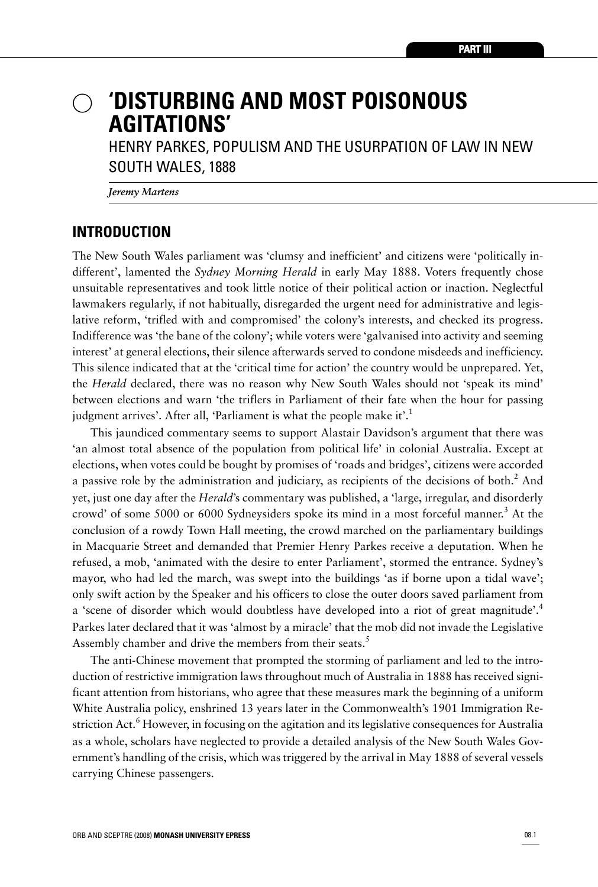# **'DISTURBING AND MOST POISONOUS AGITATIONS'**

HENRY PARKES, POPULISM AND THE USURPATION OF LAW IN NEW SOUTH WALES, 1888

*Jeremy Martens*

### **INTRODUCTION**

The New South Wales parliament was 'clumsy and inefficient' and citizens were 'politically indifferent', lamented the *Sydney Morning Herald* in early May 1888. Voters frequently chose unsuitable representatives and took little notice of their political action or inaction. Neglectful lawmakers regularly, if not habitually, disregarded the urgent need for administrative and legislative reform, 'trifled with and compromised' the colony's interests, and checked its progress. Indifference was 'the bane of the colony'; while voters were 'galvanised into activity and seeming interest' at general elections, their silence afterwards served to condone misdeeds and inefficiency. This silence indicated that at the 'critical time for action' the country would be unprepared. Yet, the *Herald* declared, there was no reason why New South Wales should not 'speak its mind' between elections and warn 'the triflers in Parliament of their fate when the hour for passing judgment arrives'. After all, 'Parliament is what the people make it'.<sup>1</sup>

This jaundiced commentary seems to support Alastair Davidson's argument that there was 'an almost total absence of the population from political life' in colonial Australia. Except at elections, when votes could be bought by promises of 'roads and bridges', citizens were accorded a passive role by the administration and judiciary, as recipients of the decisions of both.<sup>2</sup> And yet, just one day after the *Herald*'s commentary was published, a 'large, irregular, and disorderly crowd' of some 5000 or 6000 Sydneysiders spoke its mind in a most forceful manner. <sup>3</sup> At the conclusion of a rowdy Town Hall meeting, the crowd marched on the parliamentary buildings in Macquarie Street and demanded that Premier Henry Parkes receive a deputation. When he refused, a mob, 'animated with the desire to enter Parliament', stormed the entrance. Sydney's mayor, who had led the march, was swept into the buildings 'as if borne upon a tidal wave'; only swift action by the Speaker and his officers to close the outer doors saved parliament from a 'scene of disorder which would doubtless have developed into a riot of great magnitude'.<sup>4</sup> Parkes later declared that it was 'almost by a miracle' that the mob did not invade the Legislative Assembly chamber and drive the members from their seats.<sup>5</sup>

The anti-Chinese movement that prompted the storming of parliament and led to the introduction of restrictive immigration laws throughout much of Australia in 1888 has received significant attention from historians, who agree that these measures mark the beginning of a uniform White Australia policy, enshrined 13 years later in the Commonwealth's 1901 Immigration Restriction Act.<sup>6</sup> However, in focusing on the agitation and its legislative consequences for Australia as a whole, scholars have neglected to provide a detailed analysis of the New South Wales Government's handling of the crisis, which was triggered by the arrival in May 1888 of several vessels carrying Chinese passengers.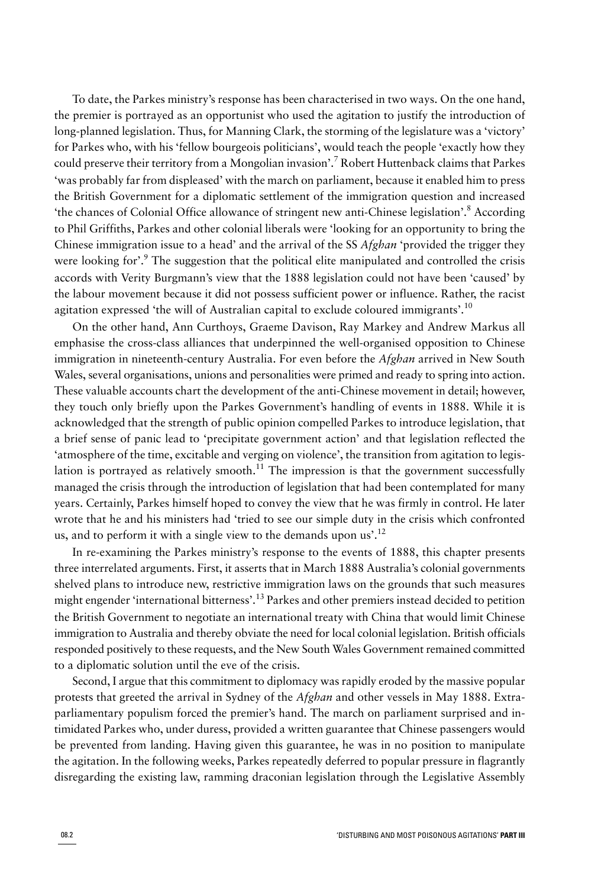To date, the Parkes ministry's response has been characterised in two ways. On the one hand, the premier is portrayed as an opportunist who used the agitation to justify the introduction of long-planned legislation. Thus, for Manning Clark, the storming of the legislature was a 'victory' for Parkes who, with his 'fellow bourgeois politicians', would teach the people 'exactly how they could preserve their territory from a Mongolian invasion'.<sup>7</sup> Robert Huttenback claims that Parkes 'was probably far from displeased' with the march on parliament, because it enabled him to press the British Government for a diplomatic settlement of the immigration question and increased 'the chances of Colonial Office allowance of stringent new anti-Chinese legislation'.<sup>8</sup> According to Phil Griffiths, Parkes and other colonial liberals were 'looking for an opportunity to bring the Chinese immigration issue to a head' and the arrival of the SS *Afghan* 'provided the trigger they were looking for'.<sup>9</sup> The suggestion that the political elite manipulated and controlled the crisis accords with Verity Burgmann's view that the 1888 legislation could not have been 'caused' by the labour movement because it did not possess sufficient power or influence. Rather, the racist agitation expressed 'the will of Australian capital to exclude coloured immigrants'.<sup>10</sup>

On the other hand, Ann Curthoys, Graeme Davison, Ray Markey and Andrew Markus all emphasise the cross-class alliances that underpinned the well-organised opposition to Chinese immigration in nineteenth-century Australia. For even before the *Afghan* arrived in New South Wales, several organisations, unions and personalities were primed and ready to spring into action. These valuable accounts chart the development of the anti-Chinese movement in detail; however, they touch only briefly upon the Parkes Government's handling of events in 1888. While it is acknowledged that the strength of public opinion compelled Parkes to introduce legislation, that a brief sense of panic lead to 'precipitate government action' and that legislation reflected the 'atmosphere of the time, excitable and verging on violence', the transition from agitation to legislation is portrayed as relatively smooth.<sup>11</sup> The impression is that the government successfully managed the crisis through the introduction of legislation that had been contemplated for many years. Certainly, Parkes himself hoped to convey the view that he was firmly in control. He later wrote that he and his ministers had 'tried to see our simple duty in the crisis which confronted us, and to perform it with a single view to the demands upon us'.<sup>12</sup>

In re-examining the Parkes ministry's response to the events of 1888, this chapter presents three interrelated arguments. First, it asserts that in March 1888 Australia's colonial governments shelved plans to introduce new, restrictive immigration laws on the grounds that such measures might engender 'international bitterness'.<sup>13</sup> Parkes and other premiers instead decided to petition the British Government to negotiate an international treaty with China that would limit Chinese immigration to Australia and thereby obviate the need for local colonial legislation. British officials responded positively to these requests, and the New South Wales Government remained committed to a diplomatic solution until the eve of the crisis.

Second, I argue that this commitment to diplomacy was rapidly eroded by the massive popular protests that greeted the arrival in Sydney of the *Afghan* and other vessels in May 1888. Extraparliamentary populism forced the premier's hand. The march on parliament surprised and intimidated Parkes who, under duress, provided a written guarantee that Chinese passengers would be prevented from landing. Having given this guarantee, he was in no position to manipulate the agitation. In the following weeks, Parkes repeatedly deferred to popular pressure in flagrantly disregarding the existing law, ramming draconian legislation through the Legislative Assembly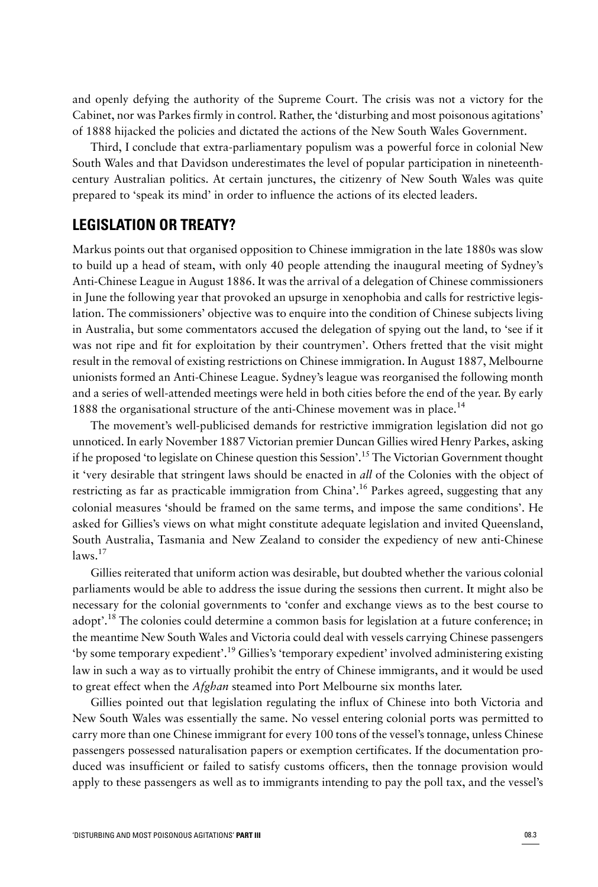and openly defying the authority of the Supreme Court. The crisis was not a victory for the Cabinet, nor was Parkes firmly in control. Rather, the 'disturbing and most poisonous agitations' of 1888 hijacked the policies and dictated the actions of the New South Wales Government.

Third, I conclude that extra-parliamentary populism was a powerful force in colonial New South Wales and that Davidson underestimates the level of popular participation in nineteenthcentury Australian politics. At certain junctures, the citizenry of New South Wales was quite prepared to 'speak its mind' in order to influence the actions of its elected leaders.

### **LEGISLATION OR TREATY?**

Markus points out that organised opposition to Chinese immigration in the late 1880s was slow to build up a head of steam, with only 40 people attending the inaugural meeting of Sydney's Anti-Chinese League in August 1886. It was the arrival of a delegation of Chinese commissioners in June the following year that provoked an upsurge in xenophobia and calls for restrictive legislation. The commissioners' objective was to enquire into the condition of Chinese subjects living in Australia, but some commentators accused the delegation of spying out the land, to 'see if it was not ripe and fit for exploitation by their countrymen'. Others fretted that the visit might result in the removal of existing restrictions on Chinese immigration. In August 1887, Melbourne unionists formed an Anti-Chinese League. Sydney's league was reorganised the following month and a series of well-attended meetings were held in both cities before the end of the year. By early 1888 the organisational structure of the anti-Chinese movement was in place.<sup>14</sup>

The movement's well-publicised demands for restrictive immigration legislation did not go unnoticed. In early November 1887 Victorian premier Duncan Gillies wired Henry Parkes, asking if he proposed 'to legislate on Chinese question this Session'.<sup>15</sup> The Victorian Government thought it 'very desirable that stringent laws should be enacted in *all* of the Colonies with the object of restricting as far as practicable immigration from China'.<sup>16</sup> Parkes agreed, suggesting that any colonial measures 'should be framed on the same terms, and impose the same conditions'. He asked for Gillies's views on what might constitute adequate legislation and invited Queensland, South Australia, Tasmania and New Zealand to consider the expediency of new anti-Chinese  $laws.$ <sup>17</sup>

Gillies reiterated that uniform action was desirable, but doubted whether the various colonial parliaments would be able to address the issue during the sessions then current. It might also be necessary for the colonial governments to 'confer and exchange views as to the best course to adopt'.<sup>18</sup> The colonies could determine a common basis for legislation at a future conference; in the meantime New South Wales and Victoria could deal with vessels carrying Chinese passengers 'by some temporary expedient'.<sup>19</sup> Gillies's 'temporary expedient' involved administering existing law in such a way as to virtually prohibit the entry of Chinese immigrants, and it would be used to great effect when the *Afghan* steamed into Port Melbourne six months later.

Gillies pointed out that legislation regulating the influx of Chinese into both Victoria and New South Wales was essentially the same. No vessel entering colonial ports was permitted to carry more than one Chinese immigrant for every 100 tons of the vessel's tonnage, unless Chinese passengers possessed naturalisation papers or exemption certificates. If the documentation produced was insufficient or failed to satisfy customs officers, then the tonnage provision would apply to these passengers as well as to immigrants intending to pay the poll tax, and the vessel's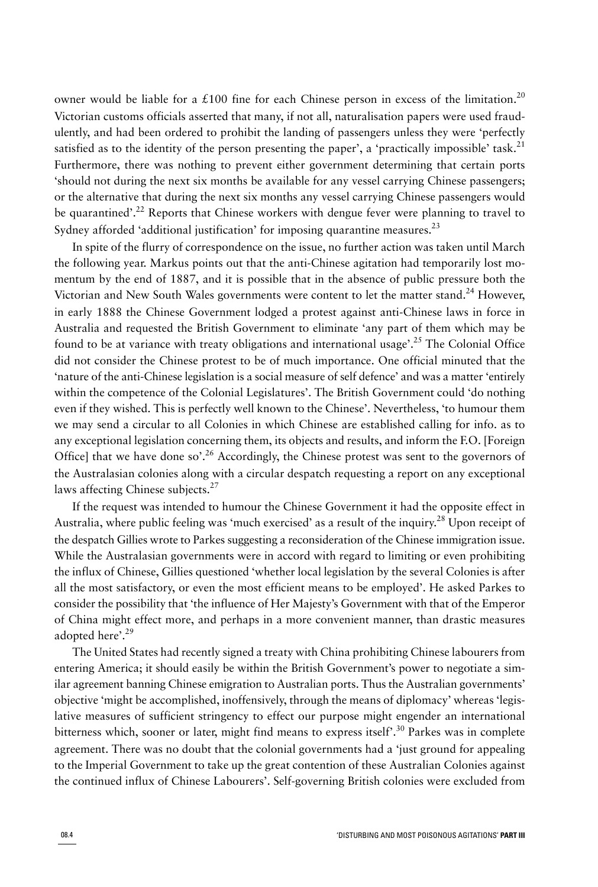owner would be liable for a £100 fine for each Chinese person in excess of the limitation.<sup>20</sup> Victorian customs officials asserted that many, if not all, naturalisation papers were used fraudulently, and had been ordered to prohibit the landing of passengers unless they were 'perfectly satisfied as to the identity of the person presenting the paper', a 'practically impossible' task.<sup>21</sup> Furthermore, there was nothing to prevent either government determining that certain ports 'should not during the next six months be available for any vessel carrying Chinese passengers; or the alternative that during the next six months any vessel carrying Chinese passengers would be quarantined'.<sup>22</sup> Reports that Chinese workers with dengue fever were planning to travel to Sydney afforded 'additional justification' for imposing quarantine measures.<sup>23</sup>

In spite of the flurry of correspondence on the issue, no further action was taken until March the following year. Markus points out that the anti-Chinese agitation had temporarily lost momentum by the end of 1887, and it is possible that in the absence of public pressure both the Victorian and New South Wales governments were content to let the matter stand.<sup>24</sup> However, in early 1888 the Chinese Government lodged a protest against anti-Chinese laws in force in Australia and requested the British Government to eliminate 'any part of them which may be found to be at variance with treaty obligations and international usage'.<sup>25</sup> The Colonial Office did not consider the Chinese protest to be of much importance. One official minuted that the 'nature of the anti-Chinese legislation is a social measure of self defence' and was a matter 'entirely within the competence of the Colonial Legislatures'. The British Government could 'do nothing even if they wished. This is perfectly well known to the Chinese'. Nevertheless, 'to humour them we may send a circular to all Colonies in which Chinese are established calling for info. as to any exceptional legislation concerning them, its objects and results, and inform the F.O. [Foreign Office] that we have done so'.<sup>26</sup> Accordingly, the Chinese protest was sent to the governors of the Australasian colonies along with a circular despatch requesting a report on any exceptional laws affecting Chinese subjects.<sup>27</sup>

If the request was intended to humour the Chinese Government it had the opposite effect in Australia, where public feeling was 'much exercised' as a result of the inquiry.<sup>28</sup> Upon receipt of the despatch Gillies wrote to Parkes suggesting a reconsideration of the Chinese immigration issue. While the Australasian governments were in accord with regard to limiting or even prohibiting the influx of Chinese, Gillies questioned 'whether local legislation by the several Colonies is after all the most satisfactory, or even the most efficient means to be employed'. He asked Parkes to consider the possibility that 'the influence of Her Majesty's Government with that of the Emperor of China might effect more, and perhaps in a more convenient manner, than drastic measures adopted here'.<sup>29</sup>

The United States had recently signed a treaty with China prohibiting Chinese labourers from entering America; it should easily be within the British Government's power to negotiate a similar agreement banning Chinese emigration to Australian ports. Thus the Australian governments' objective 'might be accomplished, inoffensively, through the means of diplomacy' whereas 'legislative measures of sufficient stringency to effect our purpose might engender an international bitterness which, sooner or later, might find means to express itself'.<sup>30</sup> Parkes was in complete agreement. There was no doubt that the colonial governments had a 'just ground for appealing to the Imperial Government to take up the great contention of these Australian Colonies against the continued influx of Chinese Labourers'. Self-governing British colonies were excluded from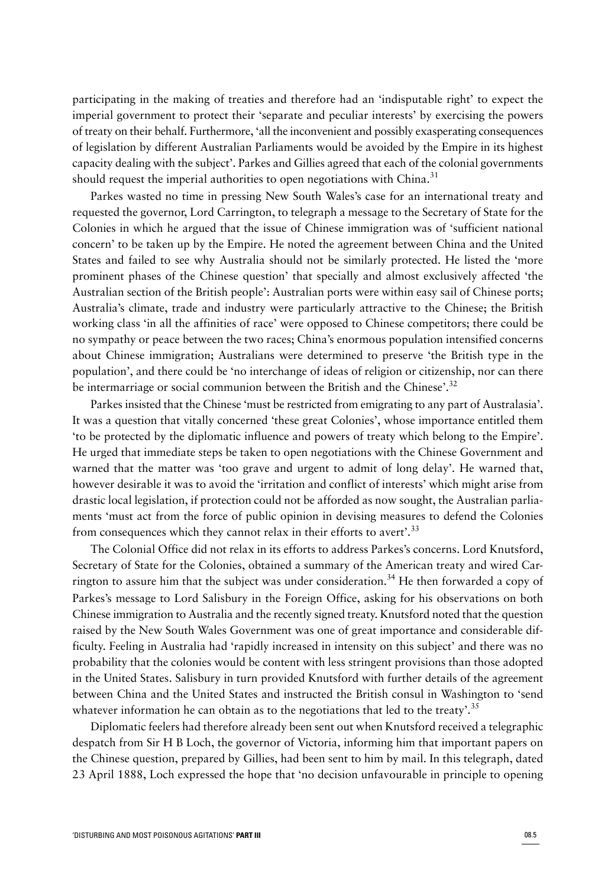participating in the making of treaties and therefore had an 'indisputable right' to expect the imperial government to protect their 'separate and peculiar interests' by exercising the powers of treaty on their behalf. Furthermore, 'all the inconvenient and possibly exasperating consequences of legislation by different Australian Parliaments would be avoided by the Empire in its highest capacity dealing with the subject'. Parkes and Gillies agreed that each of the colonial governments should request the imperial authorities to open negotiations with China.<sup>31</sup>

Parkes wasted no time in pressing New South Wales's case for an international treaty and requested the governor, Lord Carrington, to telegraph a message to the Secretary of State for the Colonies in which he argued that the issue of Chinese immigration was of 'sufficient national concern' to be taken up by the Empire. He noted the agreement between China and the United States and failed to see why Australia should not be similarly protected. He listed the 'more prominent phases of the Chinese question' that specially and almost exclusively affected 'the Australian section of the British people': Australian ports were within easy sail of Chinese ports; Australia's climate, trade and industry were particularly attractive to the Chinese; the British working class 'in all the affinities of race' were opposed to Chinese competitors; there could be no sympathy or peace between the two races; China's enormous population intensified concerns about Chinese immigration; Australians were determined to preserve 'the British type in the population', and there could be 'no interchange of ideas of religion or citizenship, nor can there be intermarriage or social communion between the British and the Chinese'.<sup>32</sup>

Parkes insisted that the Chinese 'must be restricted from emigrating to any part of Australasia'. It was a question that vitally concerned 'these great Colonies', whose importance entitled them 'to be protected by the diplomatic influence and powers of treaty which belong to the Empire'. He urged that immediate steps be taken to open negotiations with the Chinese Government and warned that the matter was 'too grave and urgent to admit of long delay'. He warned that, however desirable it was to avoid the 'irritation and conflict of interests' which might arise from drastic local legislation, if protection could not be afforded as now sought, the Australian parliaments 'must act from the force of public opinion in devising measures to defend the Colonies from consequences which they cannot relax in their efforts to avert'.<sup>33</sup>

The Colonial Office did not relax in its efforts to address Parkes's concerns. Lord Knutsford, Secretary of State for the Colonies, obtained a summary of the American treaty and wired Carrington to assure him that the subject was under consideration.<sup>34</sup> He then forwarded a copy of Parkes's message to Lord Salisbury in the Foreign Office, asking for his observations on both Chinese immigration to Australia and the recently signed treaty. Knutsford noted that the question raised by the New South Wales Government was one of great importance and considerable difficulty. Feeling in Australia had 'rapidly increased in intensity on this subject' and there was no probability that the colonies would be content with less stringent provisions than those adopted in the United States. Salisbury in turn provided Knutsford with further details of the agreement between China and the United States and instructed the British consul in Washington to 'send whatever information he can obtain as to the negotiations that led to the treaty'.<sup>35</sup>

Diplomatic feelers had therefore already been sent out when Knutsford received a telegraphic despatch from Sir H B Loch, the governor of Victoria, informing him that important papers on the Chinese question, prepared by Gillies, had been sent to him by mail. In this telegraph, dated 23 April 1888, Loch expressed the hope that 'no decision unfavourable in principle to opening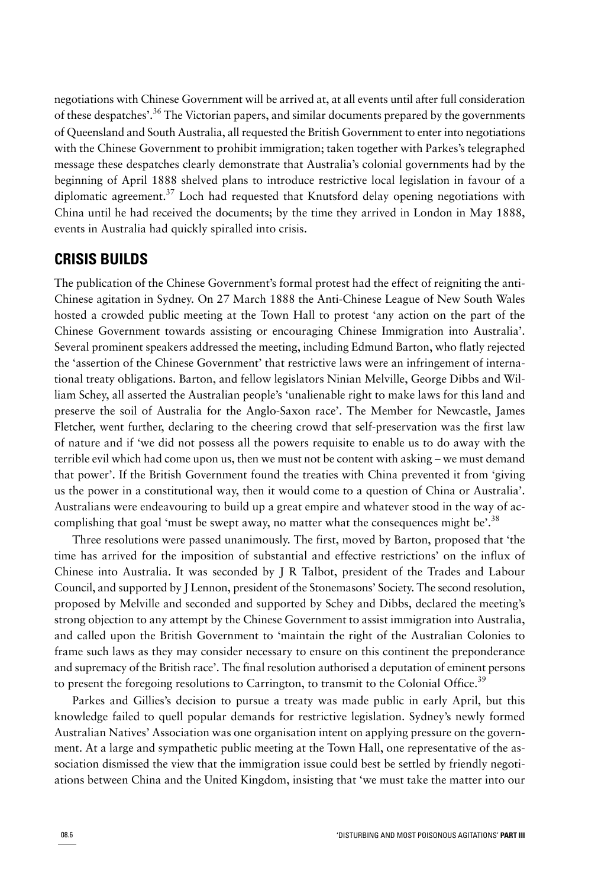negotiations with Chinese Government will be arrived at, at all events until after full consideration of these despatches'.<sup>36</sup> The Victorian papers, and similar documents prepared by the governments of Queensland and South Australia, all requested the British Government to enter into negotiations with the Chinese Government to prohibit immigration; taken together with Parkes's telegraphed message these despatches clearly demonstrate that Australia's colonial governments had by the beginning of April 1888 shelved plans to introduce restrictive local legislation in favour of a diplomatic agreement.<sup>37</sup> Loch had requested that Knutsford delay opening negotiations with China until he had received the documents; by the time they arrived in London in May 1888, events in Australia had quickly spiralled into crisis.

### **CRISIS BUILDS**

The publication of the Chinese Government's formal protest had the effect of reigniting the anti-Chinese agitation in Sydney. On 27 March 1888 the Anti-Chinese League of New South Wales hosted a crowded public meeting at the Town Hall to protest 'any action on the part of the Chinese Government towards assisting or encouraging Chinese Immigration into Australia'. Several prominent speakers addressed the meeting, including Edmund Barton, who flatly rejected the 'assertion of the Chinese Government' that restrictive laws were an infringement of international treaty obligations. Barton, and fellow legislators Ninian Melville, George Dibbs and William Schey, all asserted the Australian people's 'unalienable right to make laws for this land and preserve the soil of Australia for the Anglo-Saxon race'. The Member for Newcastle, James Fletcher, went further, declaring to the cheering crowd that self-preservation was the first law of nature and if 'we did not possess all the powers requisite to enable us to do away with the terrible evil which had come upon us, then we must not be content with asking – we must demand that power'. If the British Government found the treaties with China prevented it from 'giving us the power in a constitutional way, then it would come to a question of China or Australia'. Australians were endeavouring to build up a great empire and whatever stood in the way of accomplishing that goal 'must be swept away, no matter what the consequences might be'.<sup>38</sup>

Three resolutions were passed unanimously. The first, moved by Barton, proposed that 'the time has arrived for the imposition of substantial and effective restrictions' on the influx of Chinese into Australia. It was seconded by J R Talbot, president of the Trades and Labour Council, and supported by J Lennon, president of the Stonemasons' Society. The second resolution, proposed by Melville and seconded and supported by Schey and Dibbs, declared the meeting's strong objection to any attempt by the Chinese Government to assist immigration into Australia, and called upon the British Government to 'maintain the right of the Australian Colonies to frame such laws as they may consider necessary to ensure on this continent the preponderance and supremacy of the British race'. The final resolution authorised a deputation of eminent persons to present the foregoing resolutions to Carrington, to transmit to the Colonial Office.<sup>39</sup>

Parkes and Gillies's decision to pursue a treaty was made public in early April, but this knowledge failed to quell popular demands for restrictive legislation. Sydney's newly formed Australian Natives' Association was one organisation intent on applying pressure on the government. At a large and sympathetic public meeting at the Town Hall, one representative of the association dismissed the view that the immigration issue could best be settled by friendly negotiations between China and the United Kingdom, insisting that 'we must take the matter into our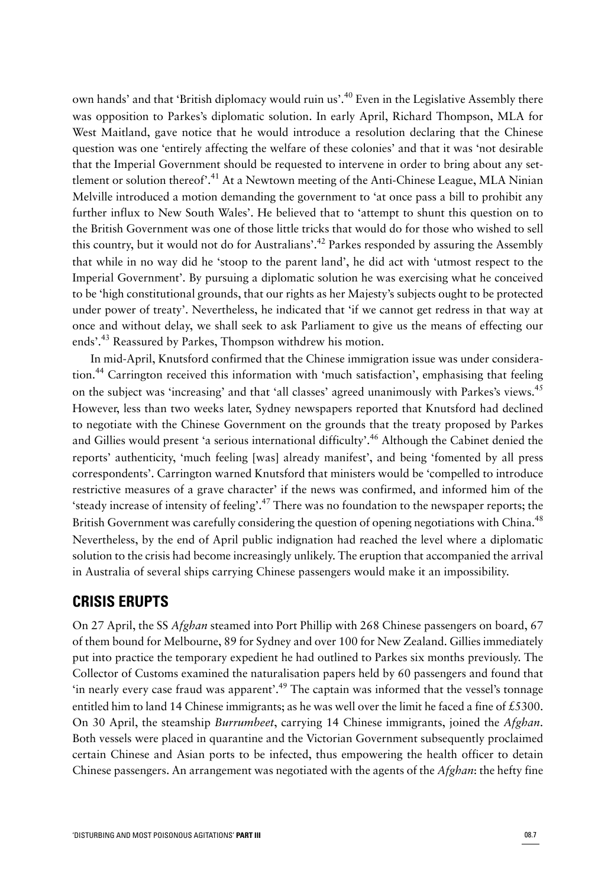own hands' and that 'British diplomacy would ruin us'.<sup>40</sup> Even in the Legislative Assembly there was opposition to Parkes's diplomatic solution. In early April, Richard Thompson, MLA for West Maitland, gave notice that he would introduce a resolution declaring that the Chinese question was one 'entirely affecting the welfare of these colonies' and that it was 'not desirable that the Imperial Government should be requested to intervene in order to bring about any settlement or solution thereof'.<sup>41</sup> At a Newtown meeting of the Anti-Chinese League, MLA Ninian Melville introduced a motion demanding the government to 'at once pass a bill to prohibit any further influx to New South Wales'. He believed that to 'attempt to shunt this question on to the British Government was one of those little tricks that would do for those who wished to sell this country, but it would not do for Australians'.<sup>42</sup> Parkes responded by assuring the Assembly that while in no way did he 'stoop to the parent land', he did act with 'utmost respect to the Imperial Government'. By pursuing a diplomatic solution he was exercising what he conceived to be 'high constitutional grounds, that our rights as her Majesty's subjects ought to be protected under power of treaty'. Nevertheless, he indicated that 'if we cannot get redress in that way at once and without delay, we shall seek to ask Parliament to give us the means of effecting our ends'.<sup>43</sup> Reassured by Parkes, Thompson withdrew his motion.

In mid-April, Knutsford confirmed that the Chinese immigration issue was under consideration.<sup>44</sup> Carrington received this information with 'much satisfaction', emphasising that feeling on the subject was 'increasing' and that 'all classes' agreed unanimously with Parkes's views.<sup>45</sup> However, less than two weeks later, Sydney newspapers reported that Knutsford had declined to negotiate with the Chinese Government on the grounds that the treaty proposed by Parkes and Gillies would present 'a serious international difficulty'.<sup>46</sup> Although the Cabinet denied the reports' authenticity, 'much feeling [was] already manifest', and being 'fomented by all press correspondents'. Carrington warned Knutsford that ministers would be 'compelled to introduce restrictive measures of a grave character' if the news was confirmed, and informed him of the 'steady increase of intensity of feeling'.<sup>47</sup> There was no foundation to the newspaper reports; the British Government was carefully considering the question of opening negotiations with China.<sup>48</sup> Nevertheless, by the end of April public indignation had reached the level where a diplomatic solution to the crisis had become increasingly unlikely. The eruption that accompanied the arrival in Australia of several ships carrying Chinese passengers would make it an impossibility.

# **CRISIS ERUPTS**

On 27 April, the SS *Afghan* steamed into Port Phillip with 268 Chinese passengers on board, 67 of them bound for Melbourne, 89 for Sydney and over 100 for New Zealand. Gillies immediately put into practice the temporary expedient he had outlined to Parkes six months previously. The Collector of Customs examined the naturalisation papers held by 60 passengers and found that 'in nearly every case fraud was apparent'.<sup>49</sup> The captain was informed that the vessel's tonnage entitled him to land 14 Chinese immigrants; as he was well over the limit he faced a fine of £5300. On 30 April, the steamship *Burrumbeet*, carrying 14 Chinese immigrants, joined the *Afghan*. Both vessels were placed in quarantine and the Victorian Government subsequently proclaimed certain Chinese and Asian ports to be infected, thus empowering the health officer to detain Chinese passengers. An arrangement was negotiated with the agents of the *Afghan*: the hefty fine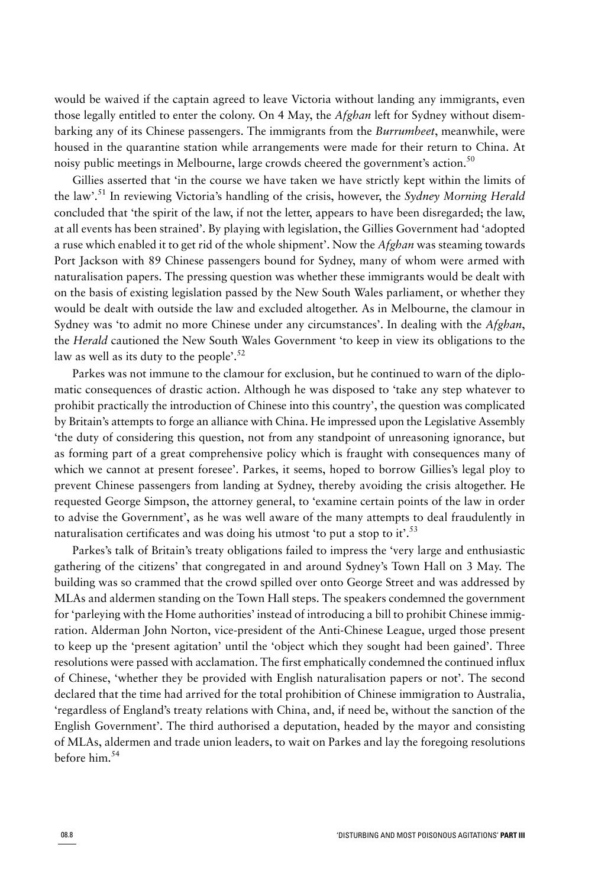would be waived if the captain agreed to leave Victoria without landing any immigrants, even those legally entitled to enter the colony. On 4 May, the *Afghan* left for Sydney without disembarking any of its Chinese passengers. The immigrants from the *Burrumbeet*, meanwhile, were housed in the quarantine station while arrangements were made for their return to China. At noisy public meetings in Melbourne, large crowds cheered the government's action.<sup>50</sup>

Gillies asserted that 'in the course we have taken we have strictly kept within the limits of the law'.<sup>51</sup> In reviewing Victoria's handling of the crisis, however, the *Sydney Morning Herald* concluded that 'the spirit of the law, if not the letter, appears to have been disregarded; the law, at all events has been strained'. By playing with legislation, the Gillies Government had 'adopted a ruse which enabled it to get rid of the whole shipment'. Now the *Afghan* was steaming towards Port Jackson with 89 Chinese passengers bound for Sydney, many of whom were armed with naturalisation papers. The pressing question was whether these immigrants would be dealt with on the basis of existing legislation passed by the New South Wales parliament, or whether they would be dealt with outside the law and excluded altogether. As in Melbourne, the clamour in Sydney was 'to admit no more Chinese under any circumstances'. In dealing with the *Afghan*, the *Herald* cautioned the New South Wales Government 'to keep in view its obligations to the law as well as its duty to the people'.<sup>52</sup>

Parkes was not immune to the clamour for exclusion, but he continued to warn of the diplomatic consequences of drastic action. Although he was disposed to 'take any step whatever to prohibit practically the introduction of Chinese into this country', the question was complicated by Britain's attempts to forge an alliance with China. He impressed upon the Legislative Assembly 'the duty of considering this question, not from any standpoint of unreasoning ignorance, but as forming part of a great comprehensive policy which is fraught with consequences many of which we cannot at present foresee'. Parkes, it seems, hoped to borrow Gillies's legal ploy to prevent Chinese passengers from landing at Sydney, thereby avoiding the crisis altogether. He requested George Simpson, the attorney general, to 'examine certain points of the law in order to advise the Government', as he was well aware of the many attempts to deal fraudulently in naturalisation certificates and was doing his utmost 'to put a stop to it'.<sup>53</sup>

Parkes's talk of Britain's treaty obligations failed to impress the 'very large and enthusiastic gathering of the citizens' that congregated in and around Sydney's Town Hall on 3 May. The building was so crammed that the crowd spilled over onto George Street and was addressed by MLAs and aldermen standing on the Town Hall steps. The speakers condemned the government for 'parleying with the Home authorities' instead of introducing a bill to prohibit Chinese immigration. Alderman John Norton, vice-president of the Anti-Chinese League, urged those present to keep up the 'present agitation' until the 'object which they sought had been gained'. Three resolutions were passed with acclamation. The first emphatically condemned the continued influx of Chinese, 'whether they be provided with English naturalisation papers or not'. The second declared that the time had arrived for the total prohibition of Chinese immigration to Australia, 'regardless of England's treaty relations with China, and, if need be, without the sanction of the English Government'. The third authorised a deputation, headed by the mayor and consisting of MLAs, aldermen and trade union leaders, to wait on Parkes and lay the foregoing resolutions before him.<sup>54</sup>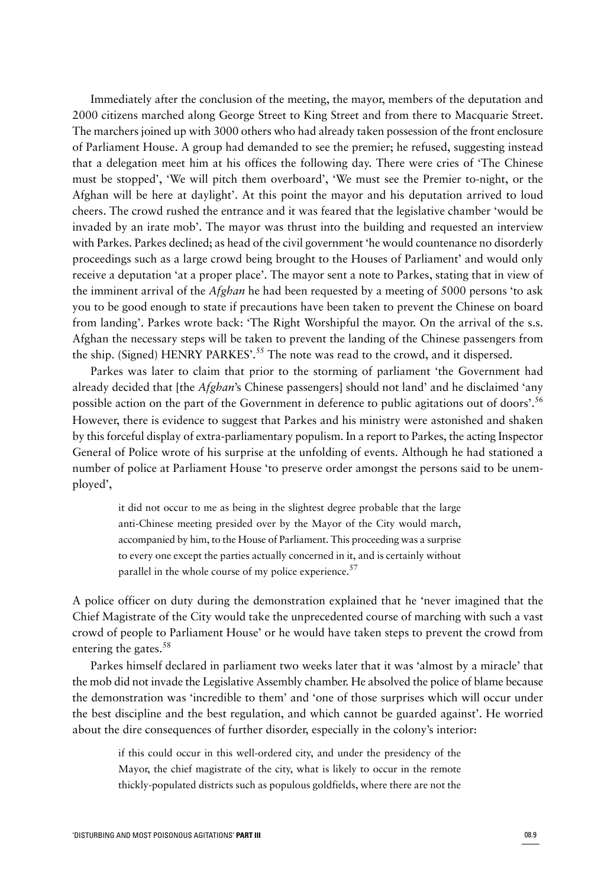Immediately after the conclusion of the meeting, the mayor, members of the deputation and 2000 citizens marched along George Street to King Street and from there to Macquarie Street. The marchers joined up with 3000 others who had already taken possession of the front enclosure of Parliament House. A group had demanded to see the premier; he refused, suggesting instead that a delegation meet him at his offices the following day. There were cries of 'The Chinese must be stopped', 'We will pitch them overboard', 'We must see the Premier to-night, or the Afghan will be here at daylight'. At this point the mayor and his deputation arrived to loud cheers. The crowd rushed the entrance and it was feared that the legislative chamber 'would be invaded by an irate mob'. The mayor was thrust into the building and requested an interview with Parkes. Parkes declined; as head of the civil government 'he would countenance no disorderly proceedings such as a large crowd being brought to the Houses of Parliament' and would only receive a deputation 'at a proper place'. The mayor sent a note to Parkes, stating that in view of the imminent arrival of the *Afghan* he had been requested by a meeting of 5000 persons 'to ask you to be good enough to state if precautions have been taken to prevent the Chinese on board from landing'. Parkes wrote back: 'The Right Worshipful the mayor. On the arrival of the s.s. Afghan the necessary steps will be taken to prevent the landing of the Chinese passengers from the ship. (Signed) HENRY PARKES'.<sup>55</sup> The note was read to the crowd, and it dispersed.

Parkes was later to claim that prior to the storming of parliament 'the Government had already decided that [the *Afghan*'s Chinese passengers] should not land' and he disclaimed 'any possible action on the part of the Government in deference to public agitations out of doors'.<sup>56</sup> However, there is evidence to suggest that Parkes and his ministry were astonished and shaken by this forceful display of extra-parliamentary populism. In a report to Parkes, the acting Inspector General of Police wrote of his surprise at the unfolding of events. Although he had stationed a number of police at Parliament House 'to preserve order amongst the persons said to be unemployed',

it did not occur to me as being in the slightest degree probable that the large anti-Chinese meeting presided over by the Mayor of the City would march, accompanied by him, to the House of Parliament. This proceeding was a surprise to every one except the parties actually concerned in it, and is certainly without parallel in the whole course of my police experience.<sup>57</sup>

A police officer on duty during the demonstration explained that he 'never imagined that the Chief Magistrate of the City would take the unprecedented course of marching with such a vast crowd of people to Parliament House' or he would have taken steps to prevent the crowd from entering the gates.<sup>58</sup>

Parkes himself declared in parliament two weeks later that it was 'almost by a miracle' that the mob did not invade the Legislative Assembly chamber. He absolved the police of blame because the demonstration was 'incredible to them' and 'one of those surprises which will occur under the best discipline and the best regulation, and which cannot be guarded against'. He worried about the dire consequences of further disorder, especially in the colony's interior:

if this could occur in this well-ordered city, and under the presidency of the Mayor, the chief magistrate of the city, what is likely to occur in the remote thickly-populated districts such as populous goldfields, where there are not the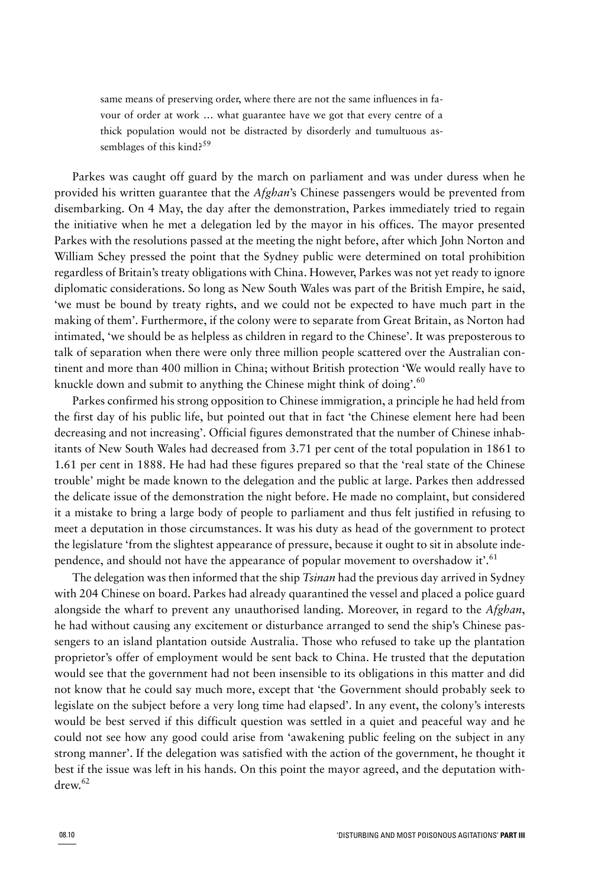same means of preserving order, where there are not the same influences in favour of order at work … what guarantee have we got that every centre of a thick population would not be distracted by disorderly and tumultuous assemblages of this kind?<sup>59</sup>

Parkes was caught off guard by the march on parliament and was under duress when he provided his written guarantee that the *Afghan*'s Chinese passengers would be prevented from disembarking. On 4 May, the day after the demonstration, Parkes immediately tried to regain the initiative when he met a delegation led by the mayor in his offices. The mayor presented Parkes with the resolutions passed at the meeting the night before, after which John Norton and William Schey pressed the point that the Sydney public were determined on total prohibition regardless of Britain's treaty obligations with China. However, Parkes was not yet ready to ignore diplomatic considerations. So long as New South Wales was part of the British Empire, he said, 'we must be bound by treaty rights, and we could not be expected to have much part in the making of them'. Furthermore, if the colony were to separate from Great Britain, as Norton had intimated, 'we should be as helpless as children in regard to the Chinese'. It was preposterous to talk of separation when there were only three million people scattered over the Australian continent and more than 400 million in China; without British protection 'We would really have to knuckle down and submit to anything the Chinese might think of doing'.<sup>60</sup>

Parkes confirmed his strong opposition to Chinese immigration, a principle he had held from the first day of his public life, but pointed out that in fact 'the Chinese element here had been decreasing and not increasing'. Official figures demonstrated that the number of Chinese inhabitants of New South Wales had decreased from 3.71 per cent of the total population in 1861 to 1.61 per cent in 1888. He had had these figures prepared so that the 'real state of the Chinese trouble' might be made known to the delegation and the public at large. Parkes then addressed the delicate issue of the demonstration the night before. He made no complaint, but considered it a mistake to bring a large body of people to parliament and thus felt justified in refusing to meet a deputation in those circumstances. It was his duty as head of the government to protect the legislature 'from the slightest appearance of pressure, because it ought to sit in absolute independence, and should not have the appearance of popular movement to overshadow it'.<sup>61</sup>

The delegation was then informed that the ship *Tsinan* had the previous day arrived in Sydney with 204 Chinese on board. Parkes had already quarantined the vessel and placed a police guard alongside the wharf to prevent any unauthorised landing. Moreover, in regard to the *Afghan*, he had without causing any excitement or disturbance arranged to send the ship's Chinese passengers to an island plantation outside Australia. Those who refused to take up the plantation proprietor's offer of employment would be sent back to China. He trusted that the deputation would see that the government had not been insensible to its obligations in this matter and did not know that he could say much more, except that 'the Government should probably seek to legislate on the subject before a very long time had elapsed'. In any event, the colony's interests would be best served if this difficult question was settled in a quiet and peaceful way and he could not see how any good could arise from 'awakening public feeling on the subject in any strong manner'. If the delegation was satisfied with the action of the government, he thought it best if the issue was left in his hands. On this point the mayor agreed, and the deputation withdrew. 62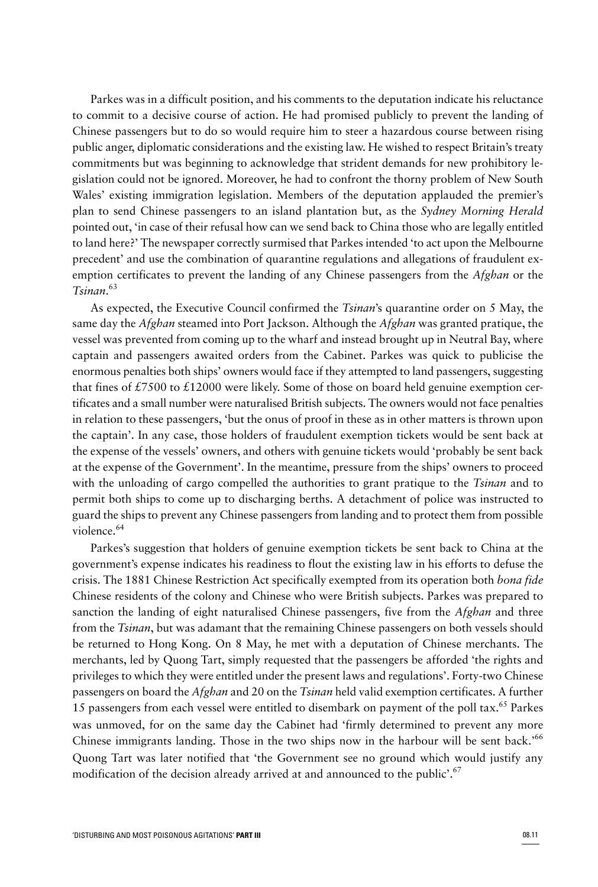Parkes was in a difficult position, and his comments to the deputation indicate his reluctance to commit to a decisive course of action. He had promised publicly to prevent the landing of Chinese passengers but to do so would require him to steer a hazardous course between rising public anger, diplomatic considerations and the existing law. He wished to respect Britain's treaty commitments but was beginning to acknowledge that strident demands for new prohibitory legislation could not be ignored. Moreover, he had to confront the thorny problem of New South Wales' existing immigration legislation. Members of the deputation applauded the premier's plan to send Chinese passengers to an island plantation but, as the *Sydney Morning Herald* pointed out, 'in case of their refusal how can we send back to China those who are legally entitled to land here?' The newspaper correctly surmised that Parkes intended 'to act upon the Melbourne precedent' and use the combination of quarantine regulations and allegations of fraudulent exemption certificates to prevent the landing of any Chinese passengers from the *Afghan* or the *Tsinan*. 63

As expected, the Executive Council confirmed the *Tsinan*'s quarantine order on 5 May, the same day the *Afghan* steamed into Port Jackson. Although the *Afghan* was granted pratique, the vessel was prevented from coming up to the wharf and instead brought up in Neutral Bay, where captain and passengers awaited orders from the Cabinet. Parkes was quick to publicise the enormous penalties both ships' owners would face if they attempted to land passengers, suggesting that fines of £7500 to £12000 were likely. Some of those on board held genuine exemption certificates and a small number were naturalised British subjects. The owners would not face penalties in relation to these passengers, 'but the onus of proof in these as in other matters is thrown upon the captain'. In any case, those holders of fraudulent exemption tickets would be sent back at the expense of the vessels' owners, and others with genuine tickets would 'probably be sent back at the expense of the Government'. In the meantime, pressure from the ships' owners to proceed with the unloading of cargo compelled the authorities to grant pratique to the *Tsinan* and to permit both ships to come up to discharging berths. A detachment of police was instructed to guard the ships to prevent any Chinese passengers from landing and to protect them from possible violence.<sup>64</sup>

Parkes's suggestion that holders of genuine exemption tickets be sent back to China at the government's expense indicates his readiness to flout the existing law in his efforts to defuse the crisis. The 1881 Chinese Restriction Act specifically exempted from its operation both *bona fide* Chinese residents of the colony and Chinese who were British subjects. Parkes was prepared to sanction the landing of eight naturalised Chinese passengers, five from the *Afghan* and three from the *Tsinan*, but was adamant that the remaining Chinese passengers on both vessels should be returned to Hong Kong. On 8 May, he met with a deputation of Chinese merchants. The merchants, led by Quong Tart, simply requested that the passengers be afforded 'the rights and privileges to which they were entitled under the present laws and regulations'. Forty-two Chinese passengers on board the *Afghan* and 20 on the *Tsinan* held valid exemption certificates. A further 15 passengers from each vessel were entitled to disembark on payment of the poll tax.<sup>65</sup> Parkes was unmoved, for on the same day the Cabinet had 'firmly determined to prevent any more Chinese immigrants landing. Those in the two ships now in the harbour will be sent back.'<sup>66</sup> Quong Tart was later notified that 'the Government see no ground which would justify any modification of the decision already arrived at and announced to the public'.<sup>67</sup>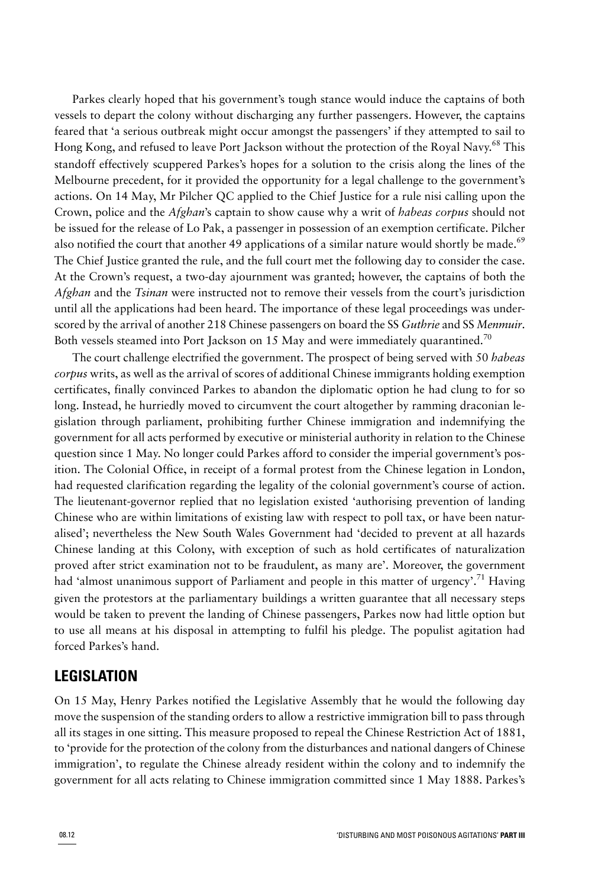Parkes clearly hoped that his government's tough stance would induce the captains of both vessels to depart the colony without discharging any further passengers. However, the captains feared that 'a serious outbreak might occur amongst the passengers' if they attempted to sail to Hong Kong, and refused to leave Port Jackson without the protection of the Royal Navy. <sup>68</sup> This standoff effectively scuppered Parkes's hopes for a solution to the crisis along the lines of the Melbourne precedent, for it provided the opportunity for a legal challenge to the government's actions. On 14 May, Mr Pilcher QC applied to the Chief Justice for a rule nisi calling upon the Crown, police and the *Afghan*'s captain to show cause why a writ of *habeas corpus* should not be issued for the release of Lo Pak, a passenger in possession of an exemption certificate. Pilcher also notified the court that another 49 applications of a similar nature would shortly be made.<sup>69</sup> The Chief Justice granted the rule, and the full court met the following day to consider the case. At the Crown's request, a two-day ajournment was granted; however, the captains of both the *Afghan* and the *Tsinan* were instructed not to remove their vessels from the court's jurisdiction until all the applications had been heard. The importance of these legal proceedings was underscored by the arrival of another 218 Chinese passengers on board the SS *Guthrie* and SS *Menmuir*. Both vessels steamed into Port Jackson on 15 May and were immediately quarantined.<sup>70</sup>

The court challenge electrified the government. The prospect of being served with 50 *habeas corpus* writs, as well as the arrival of scores of additional Chinese immigrants holding exemption certificates, finally convinced Parkes to abandon the diplomatic option he had clung to for so long. Instead, he hurriedly moved to circumvent the court altogether by ramming draconian legislation through parliament, prohibiting further Chinese immigration and indemnifying the government for all acts performed by executive or ministerial authority in relation to the Chinese question since 1 May. No longer could Parkes afford to consider the imperial government's position. The Colonial Office, in receipt of a formal protest from the Chinese legation in London, had requested clarification regarding the legality of the colonial government's course of action. The lieutenant-governor replied that no legislation existed 'authorising prevention of landing Chinese who are within limitations of existing law with respect to poll tax, or have been naturalised'; nevertheless the New South Wales Government had 'decided to prevent at all hazards Chinese landing at this Colony, with exception of such as hold certificates of naturalization proved after strict examination not to be fraudulent, as many are'. Moreover, the government had 'almost unanimous support of Parliament and people in this matter of urgency'.<sup>71</sup> Having given the protestors at the parliamentary buildings a written guarantee that all necessary steps would be taken to prevent the landing of Chinese passengers, Parkes now had little option but to use all means at his disposal in attempting to fulfil his pledge. The populist agitation had forced Parkes's hand.

### **LEGISLATION**

On 15 May, Henry Parkes notified the Legislative Assembly that he would the following day move the suspension of the standing orders to allow a restrictive immigration bill to pass through all its stages in one sitting. This measure proposed to repeal the Chinese Restriction Act of 1881, to 'provide for the protection of the colony from the disturbances and national dangers of Chinese immigration', to regulate the Chinese already resident within the colony and to indemnify the government for all acts relating to Chinese immigration committed since 1 May 1888. Parkes's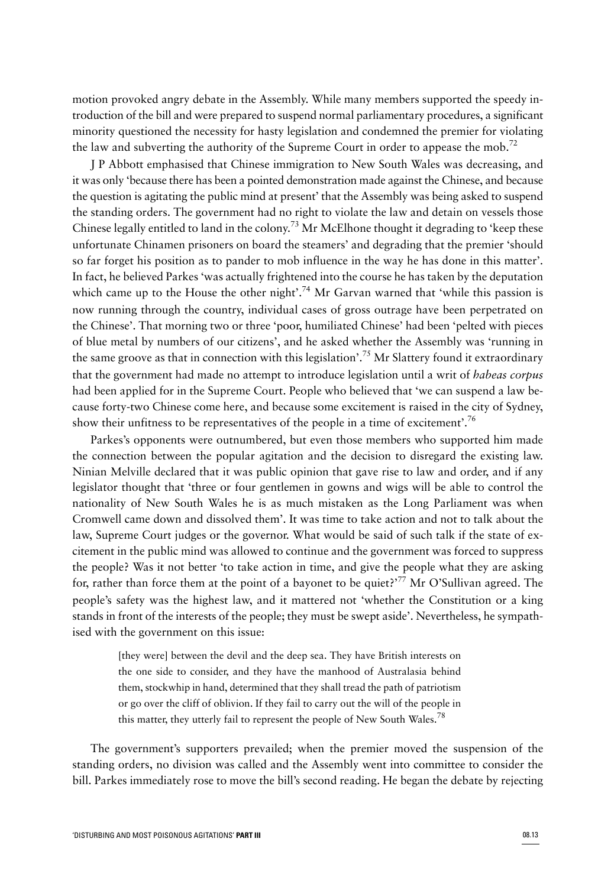motion provoked angry debate in the Assembly. While many members supported the speedy introduction of the bill and were prepared to suspend normal parliamentary procedures, a significant minority questioned the necessity for hasty legislation and condemned the premier for violating the law and subverting the authority of the Supreme Court in order to appease the mob.<sup>72</sup>

J P Abbott emphasised that Chinese immigration to New South Wales was decreasing, and it was only 'because there has been a pointed demonstration made against the Chinese, and because the question is agitating the public mind at present' that the Assembly was being asked to suspend the standing orders. The government had no right to violate the law and detain on vessels those Chinese legally entitled to land in the colony.<sup>73</sup> Mr McElhone thought it degrading to 'keep these unfortunate Chinamen prisoners on board the steamers' and degrading that the premier 'should so far forget his position as to pander to mob influence in the way he has done in this matter'. In fact, he believed Parkes 'was actually frightened into the course he has taken by the deputation which came up to the House the other night'.<sup>74</sup> Mr Garvan warned that 'while this passion is now running through the country, individual cases of gross outrage have been perpetrated on the Chinese'. That morning two or three 'poor, humiliated Chinese' had been 'pelted with pieces of blue metal by numbers of our citizens', and he asked whether the Assembly was 'running in the same groove as that in connection with this legislation'.<sup>75</sup> Mr Slattery found it extraordinary that the government had made no attempt to introduce legislation until a writ of *habeas corpus* had been applied for in the Supreme Court. People who believed that 'we can suspend a law because forty-two Chinese come here, and because some excitement is raised in the city of Sydney, show their unfitness to be representatives of the people in a time of excitement'.<sup>76</sup>

Parkes's opponents were outnumbered, but even those members who supported him made the connection between the popular agitation and the decision to disregard the existing law. Ninian Melville declared that it was public opinion that gave rise to law and order, and if any legislator thought that 'three or four gentlemen in gowns and wigs will be able to control the nationality of New South Wales he is as much mistaken as the Long Parliament was when Cromwell came down and dissolved them'. It was time to take action and not to talk about the law, Supreme Court judges or the governor. What would be said of such talk if the state of excitement in the public mind was allowed to continue and the government was forced to suppress the people? Was it not better 'to take action in time, and give the people what they are asking for, rather than force them at the point of a bayonet to be quiet?<sup>77</sup> Mr O'Sullivan agreed. The people's safety was the highest law, and it mattered not 'whether the Constitution or a king stands in front of the interests of the people; they must be swept aside'. Nevertheless, he sympathised with the government on this issue:

[they were] between the devil and the deep sea. They have British interests on the one side to consider, and they have the manhood of Australasia behind them, stockwhip in hand, determined that they shall tread the path of patriotism or go over the cliff of oblivion. If they fail to carry out the will of the people in this matter, they utterly fail to represent the people of New South Wales.<sup>78</sup>

The government's supporters prevailed; when the premier moved the suspension of the standing orders, no division was called and the Assembly went into committee to consider the bill. Parkes immediately rose to move the bill's second reading. He began the debate by rejecting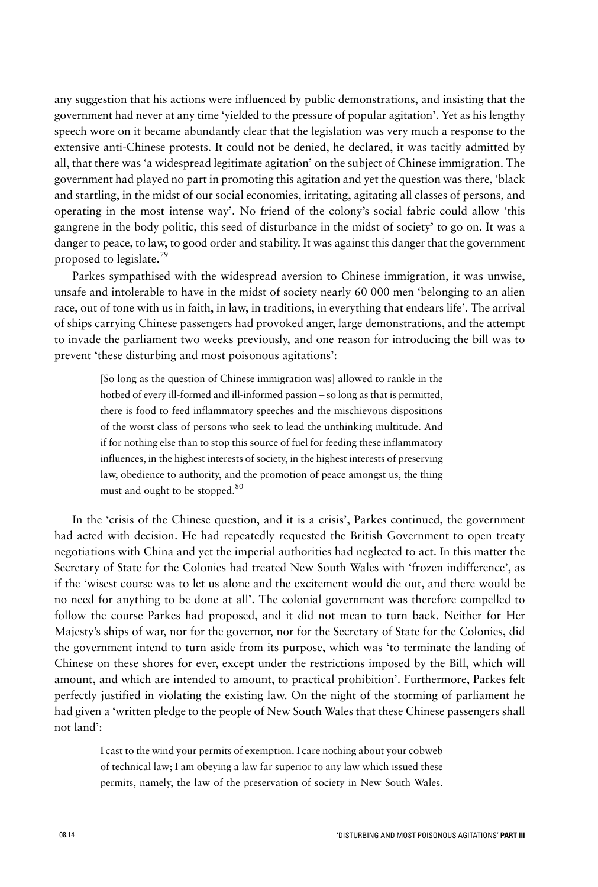any suggestion that his actions were influenced by public demonstrations, and insisting that the government had never at any time 'yielded to the pressure of popular agitation'. Yet as his lengthy speech wore on it became abundantly clear that the legislation was very much a response to the extensive anti-Chinese protests. It could not be denied, he declared, it was tacitly admitted by all, that there was 'a widespread legitimate agitation' on the subject of Chinese immigration. The government had played no part in promoting this agitation and yet the question was there, 'black and startling, in the midst of our social economies, irritating, agitating all classes of persons, and operating in the most intense way'. No friend of the colony's social fabric could allow 'this gangrene in the body politic, this seed of disturbance in the midst of society' to go on. It was a danger to peace, to law, to good order and stability. It was against this danger that the government proposed to legislate.<sup>79</sup>

Parkes sympathised with the widespread aversion to Chinese immigration, it was unwise, unsafe and intolerable to have in the midst of society nearly 60 000 men 'belonging to an alien race, out of tone with us in faith, in law, in traditions, in everything that endears life'. The arrival of ships carrying Chinese passengers had provoked anger, large demonstrations, and the attempt to invade the parliament two weeks previously, and one reason for introducing the bill was to prevent 'these disturbing and most poisonous agitations':

[So long as the question of Chinese immigration was] allowed to rankle in the hotbed of every ill-formed and ill-informed passion – so long as that is permitted, there is food to feed inflammatory speeches and the mischievous dispositions of the worst class of persons who seek to lead the unthinking multitude. And if for nothing else than to stop this source of fuel for feeding these inflammatory influences, in the highest interests of society, in the highest interests of preserving law, obedience to authority, and the promotion of peace amongst us, the thing must and ought to be stopped.<sup>80</sup>

In the 'crisis of the Chinese question, and it is a crisis', Parkes continued, the government had acted with decision. He had repeatedly requested the British Government to open treaty negotiations with China and yet the imperial authorities had neglected to act. In this matter the Secretary of State for the Colonies had treated New South Wales with 'frozen indifference', as if the 'wisest course was to let us alone and the excitement would die out, and there would be no need for anything to be done at all'. The colonial government was therefore compelled to follow the course Parkes had proposed, and it did not mean to turn back. Neither for Her Majesty's ships of war, nor for the governor, nor for the Secretary of State for the Colonies, did the government intend to turn aside from its purpose, which was 'to terminate the landing of Chinese on these shores for ever, except under the restrictions imposed by the Bill, which will amount, and which are intended to amount, to practical prohibition'. Furthermore, Parkes felt perfectly justified in violating the existing law. On the night of the storming of parliament he had given a 'written pledge to the people of New South Wales that these Chinese passengers shall not land':

I cast to the wind your permits of exemption. I care nothing about your cobweb of technical law; I am obeying a law far superior to any law which issued these permits, namely, the law of the preservation of society in New South Wales.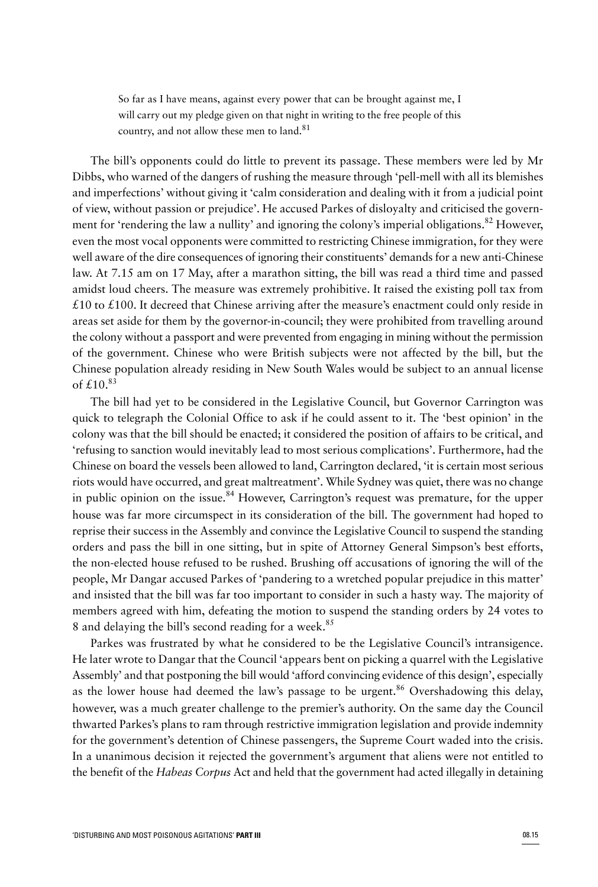So far as I have means, against every power that can be brought against me, I will carry out my pledge given on that night in writing to the free people of this country, and not allow these men to land.<sup>81</sup>

The bill's opponents could do little to prevent its passage. These members were led by Mr Dibbs, who warned of the dangers of rushing the measure through 'pell-mell with all its blemishes and imperfections' without giving it 'calm consideration and dealing with it from a judicial point of view, without passion or prejudice'. He accused Parkes of disloyalty and criticised the government for 'rendering the law a nullity' and ignoring the colony's imperial obligations.<sup>82</sup> However, even the most vocal opponents were committed to restricting Chinese immigration, for they were well aware of the dire consequences of ignoring their constituents' demands for a new anti-Chinese law. At 7.15 am on 17 May, after a marathon sitting, the bill was read a third time and passed amidst loud cheers. The measure was extremely prohibitive. It raised the existing poll tax from  $£10$  to  $£100$ . It decreed that Chinese arriving after the measure's enactment could only reside in areas set aside for them by the governor-in-council; they were prohibited from travelling around the colony without a passport and were prevented from engaging in mining without the permission of the government. Chinese who were British subjects were not affected by the bill, but the Chinese population already residing in New South Wales would be subject to an annual license of  $f$  10.<sup>83</sup>

The bill had yet to be considered in the Legislative Council, but Governor Carrington was quick to telegraph the Colonial Office to ask if he could assent to it. The 'best opinion' in the colony was that the bill should be enacted; it considered the position of affairs to be critical, and 'refusing to sanction would inevitably lead to most serious complications'. Furthermore, had the Chinese on board the vessels been allowed to land, Carrington declared, 'it is certain most serious riots would have occurred, and great maltreatment'. While Sydney was quiet, there was no change in public opinion on the issue.<sup>84</sup> However, Carrington's request was premature, for the upper house was far more circumspect in its consideration of the bill. The government had hoped to reprise their success in the Assembly and convince the Legislative Council to suspend the standing orders and pass the bill in one sitting, but in spite of Attorney General Simpson's best efforts, the non-elected house refused to be rushed. Brushing off accusations of ignoring the will of the people, Mr Dangar accused Parkes of 'pandering to a wretched popular prejudice in this matter' and insisted that the bill was far too important to consider in such a hasty way. The majority of members agreed with him, defeating the motion to suspend the standing orders by 24 votes to 8 and delaying the bill's second reading for a week.<sup>85</sup>

Parkes was frustrated by what he considered to be the Legislative Council's intransigence. He later wrote to Dangar that the Council 'appears bent on picking a quarrel with the Legislative Assembly' and that postponing the bill would 'afford convincing evidence of this design', especially as the lower house had deemed the law's passage to be urgent.<sup>86</sup> Overshadowing this delay, however, was a much greater challenge to the premier's authority. On the same day the Council thwarted Parkes's plans to ram through restrictive immigration legislation and provide indemnity for the government's detention of Chinese passengers, the Supreme Court waded into the crisis. In a unanimous decision it rejected the government's argument that aliens were not entitled to the benefit of the *Habeas Corpus* Act and held that the government had acted illegally in detaining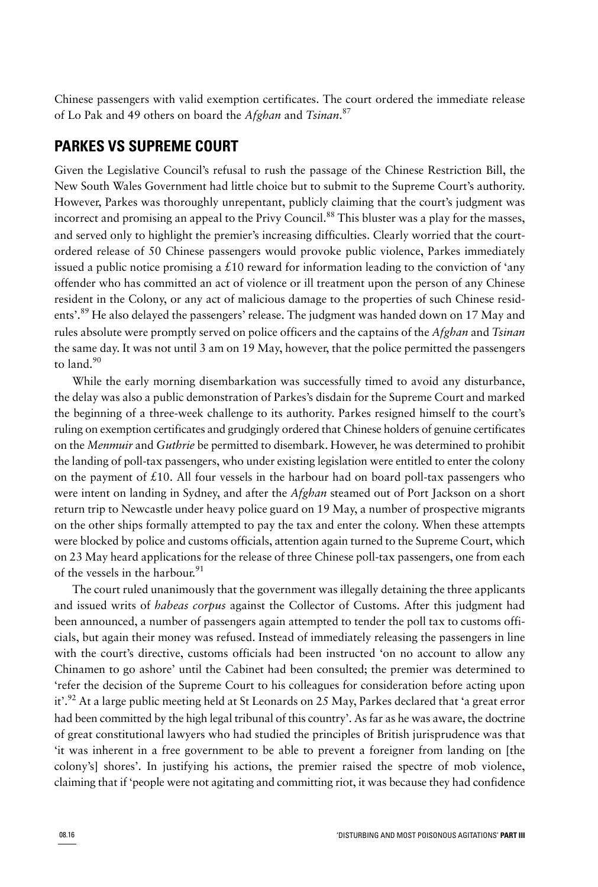Chinese passengers with valid exemption certificates. The court ordered the immediate release of Lo Pak and 49 others on board the *Afghan* and *Tsinan*. 87

### **PARKES VS SUPREME COURT**

Given the Legislative Council's refusal to rush the passage of the Chinese Restriction Bill, the New South Wales Government had little choice but to submit to the Supreme Court's authority. However, Parkes was thoroughly unrepentant, publicly claiming that the court's judgment was incorrect and promising an appeal to the Privy Council.<sup>88</sup> This bluster was a play for the masses, and served only to highlight the premier's increasing difficulties. Clearly worried that the courtordered release of 50 Chinese passengers would provoke public violence, Parkes immediately issued a public notice promising a £10 reward for information leading to the conviction of 'any offender who has committed an act of violence or ill treatment upon the person of any Chinese resident in the Colony, or any act of malicious damage to the properties of such Chinese residents'.<sup>89</sup> He also delayed the passengers' release. The judgment was handed down on 17 May and rules absolute were promptly served on police officers and the captains of the *Afghan* and *Tsinan* the same day. It was not until 3 am on 19 May, however, that the police permitted the passengers to land.<sup>90</sup>

While the early morning disembarkation was successfully timed to avoid any disturbance, the delay was also a public demonstration of Parkes's disdain for the Supreme Court and marked the beginning of a three-week challenge to its authority. Parkes resigned himself to the court's ruling on exemption certificates and grudgingly ordered that Chinese holders of genuine certificates on the *Menmuir* and *Guthrie* be permitted to disembark. However, he was determined to prohibit the landing of poll-tax passengers, who under existing legislation were entitled to enter the colony on the payment of  $\pounds 10$ . All four vessels in the harbour had on board poll-tax passengers who were intent on landing in Sydney, and after the *Afghan* steamed out of Port Jackson on a short return trip to Newcastle under heavy police guard on 19 May, a number of prospective migrants on the other ships formally attempted to pay the tax and enter the colony. When these attempts were blocked by police and customs officials, attention again turned to the Supreme Court, which on 23 May heard applications for the release of three Chinese poll-tax passengers, one from each of the vessels in the harbour. 91

The court ruled unanimously that the government was illegally detaining the three applicants and issued writs of *habeas corpus* against the Collector of Customs. After this judgment had been announced, a number of passengers again attempted to tender the poll tax to customs officials, but again their money was refused. Instead of immediately releasing the passengers in line with the court's directive, customs officials had been instructed 'on no account to allow any Chinamen to go ashore' until the Cabinet had been consulted; the premier was determined to 'refer the decision of the Supreme Court to his colleagues for consideration before acting upon it'.<sup>92</sup> At a large public meeting held at St Leonards on 25 May, Parkes declared that 'a great error had been committed by the high legal tribunal of this country'. As far as he was aware, the doctrine of great constitutional lawyers who had studied the principles of British jurisprudence was that 'it was inherent in a free government to be able to prevent a foreigner from landing on [the colony's] shores'. In justifying his actions, the premier raised the spectre of mob violence, claiming that if 'people were not agitating and committing riot, it was because they had confidence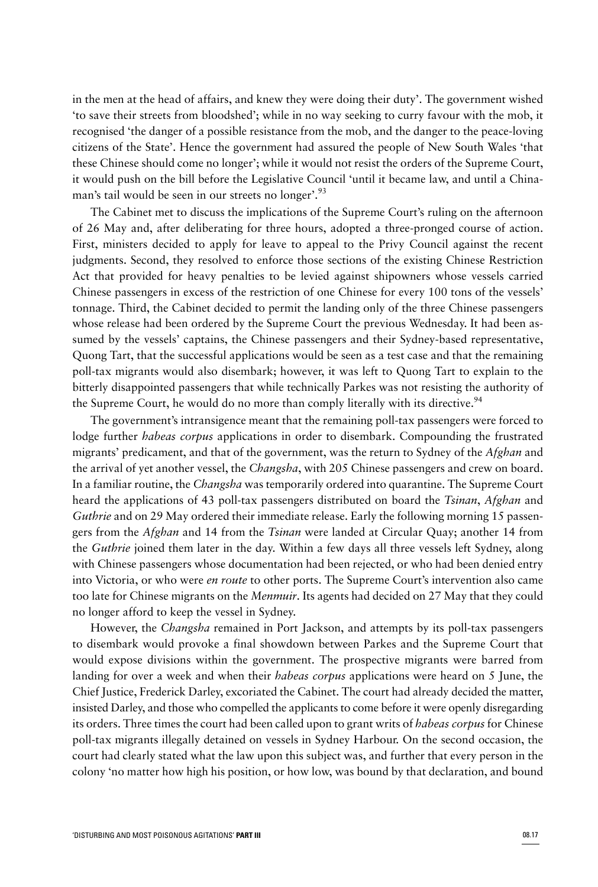in the men at the head of affairs, and knew they were doing their duty'. The government wished 'to save their streets from bloodshed'; while in no way seeking to curry favour with the mob, it recognised 'the danger of a possible resistance from the mob, and the danger to the peace-loving citizens of the State'. Hence the government had assured the people of New South Wales 'that these Chinese should come no longer'; while it would not resist the orders of the Supreme Court, it would push on the bill before the Legislative Council 'until it became law, and until a Chinaman's tail would be seen in our streets no longer'.<sup>93</sup>

The Cabinet met to discuss the implications of the Supreme Court's ruling on the afternoon of 26 May and, after deliberating for three hours, adopted a three-pronged course of action. First, ministers decided to apply for leave to appeal to the Privy Council against the recent judgments. Second, they resolved to enforce those sections of the existing Chinese Restriction Act that provided for heavy penalties to be levied against shipowners whose vessels carried Chinese passengers in excess of the restriction of one Chinese for every 100 tons of the vessels' tonnage. Third, the Cabinet decided to permit the landing only of the three Chinese passengers whose release had been ordered by the Supreme Court the previous Wednesday. It had been assumed by the vessels' captains, the Chinese passengers and their Sydney-based representative, Quong Tart, that the successful applications would be seen as a test case and that the remaining poll-tax migrants would also disembark; however, it was left to Quong Tart to explain to the bitterly disappointed passengers that while technically Parkes was not resisting the authority of the Supreme Court, he would do no more than comply literally with its directive.<sup>94</sup>

The government's intransigence meant that the remaining poll-tax passengers were forced to lodge further *habeas corpus* applications in order to disembark. Compounding the frustrated migrants' predicament, and that of the government, was the return to Sydney of the *Afghan* and the arrival of yet another vessel, the *Changsha*, with 205 Chinese passengers and crew on board. In a familiar routine, the *Changsha* was temporarily ordered into quarantine. The Supreme Court heard the applications of 43 poll-tax passengers distributed on board the *Tsinan*, *Afghan* and *Guthrie* and on 29 May ordered their immediate release. Early the following morning 15 passengers from the *Afghan* and 14 from the *Tsinan* were landed at Circular Quay; another 14 from the *Guthrie* joined them later in the day. Within a few days all three vessels left Sydney, along with Chinese passengers whose documentation had been rejected, or who had been denied entry into Victoria, or who were *en route* to other ports. The Supreme Court's intervention also came too late for Chinese migrants on the *Menmuir*. Its agents had decided on 27 May that they could no longer afford to keep the vessel in Sydney.

However, the *Changsha* remained in Port Jackson, and attempts by its poll-tax passengers to disembark would provoke a final showdown between Parkes and the Supreme Court that would expose divisions within the government. The prospective migrants were barred from landing for over a week and when their *habeas corpus* applications were heard on 5 June, the Chief Justice, Frederick Darley, excoriated the Cabinet. The court had already decided the matter, insisted Darley, and those who compelled the applicants to come before it were openly disregarding its orders. Three times the court had been called upon to grant writs of *habeas corpus* for Chinese poll-tax migrants illegally detained on vessels in Sydney Harbour. On the second occasion, the court had clearly stated what the law upon this subject was, and further that every person in the colony 'no matter how high his position, or how low, was bound by that declaration, and bound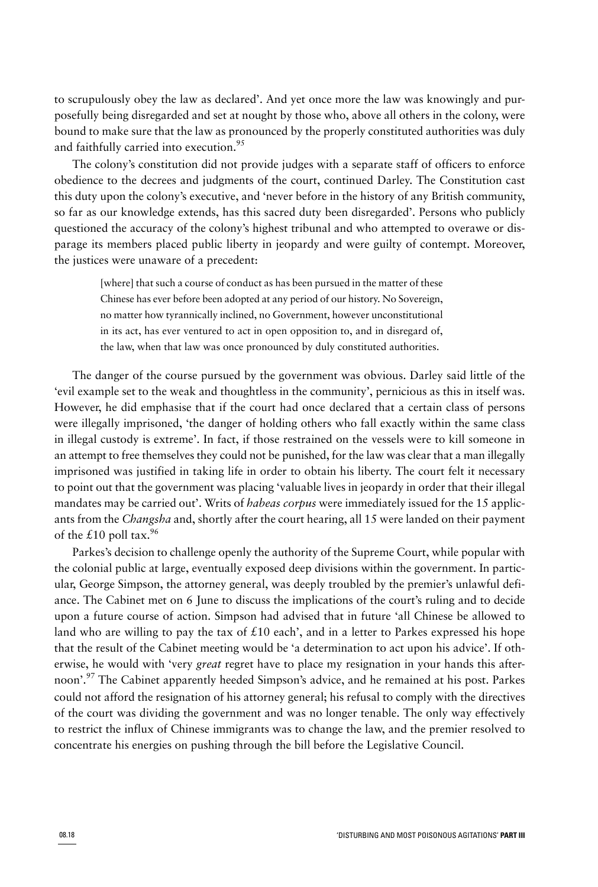to scrupulously obey the law as declared'. And yet once more the law was knowingly and purposefully being disregarded and set at nought by those who, above all others in the colony, were bound to make sure that the law as pronounced by the properly constituted authorities was duly and faithfully carried into execution.<sup>95</sup>

The colony's constitution did not provide judges with a separate staff of officers to enforce obedience to the decrees and judgments of the court, continued Darley. The Constitution cast this duty upon the colony's executive, and 'never before in the history of any British community, so far as our knowledge extends, has this sacred duty been disregarded'. Persons who publicly questioned the accuracy of the colony's highest tribunal and who attempted to overawe or disparage its members placed public liberty in jeopardy and were guilty of contempt. Moreover, the justices were unaware of a precedent:

[where] that such a course of conduct as has been pursued in the matter of these Chinese has ever before been adopted at any period of our history. No Sovereign, no matter how tyrannically inclined, no Government, however unconstitutional in its act, has ever ventured to act in open opposition to, and in disregard of, the law, when that law was once pronounced by duly constituted authorities.

The danger of the course pursued by the government was obvious. Darley said little of the 'evil example set to the weak and thoughtless in the community', pernicious as this in itself was. However, he did emphasise that if the court had once declared that a certain class of persons were illegally imprisoned, 'the danger of holding others who fall exactly within the same class in illegal custody is extreme'. In fact, if those restrained on the vessels were to kill someone in an attempt to free themselves they could not be punished, for the law was clear that a man illegally imprisoned was justified in taking life in order to obtain his liberty. The court felt it necessary to point out that the government was placing 'valuable lives in jeopardy in order that their illegal mandates may be carried out'. Writs of *habeas corpus* were immediately issued for the 15 applicants from the *Changsha* and, shortly after the court hearing, all 15 were landed on their payment of the £10 poll tax.<sup>96</sup>

Parkes's decision to challenge openly the authority of the Supreme Court, while popular with the colonial public at large, eventually exposed deep divisions within the government. In particular, George Simpson, the attorney general, was deeply troubled by the premier's unlawful defiance. The Cabinet met on 6 June to discuss the implications of the court's ruling and to decide upon a future course of action. Simpson had advised that in future 'all Chinese be allowed to land who are willing to pay the tax of  $\pounds 10$  each', and in a letter to Parkes expressed his hope that the result of the Cabinet meeting would be 'a determination to act upon his advice'. If otherwise, he would with 'very *great* regret have to place my resignation in your hands this afternoon'.<sup>97</sup> The Cabinet apparently heeded Simpson's advice, and he remained at his post. Parkes could not afford the resignation of his attorney general; his refusal to comply with the directives of the court was dividing the government and was no longer tenable. The only way effectively to restrict the influx of Chinese immigrants was to change the law, and the premier resolved to concentrate his energies on pushing through the bill before the Legislative Council.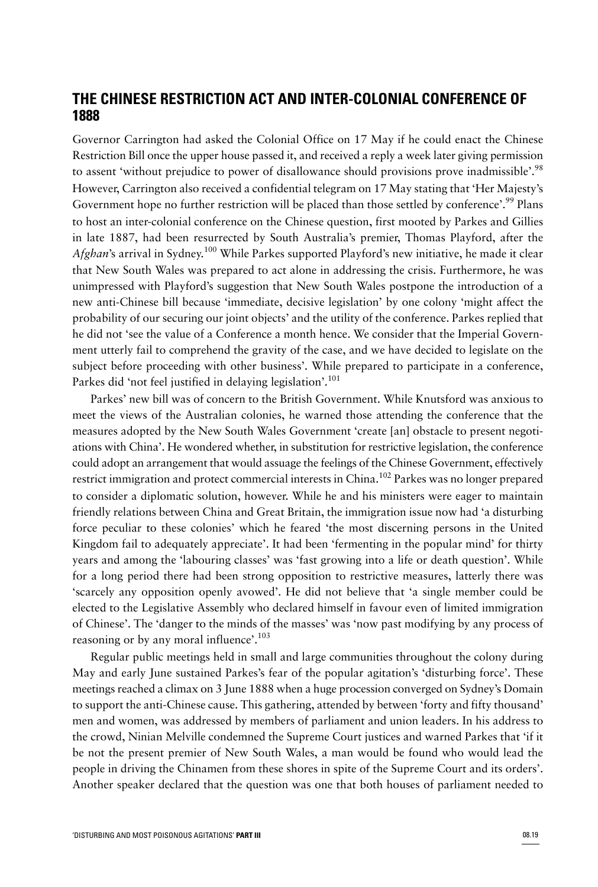## **THE CHINESE RESTRICTION ACT AND INTER-COLONIAL CONFERENCE OF 1888**

Governor Carrington had asked the Colonial Office on 17 May if he could enact the Chinese Restriction Bill once the upper house passed it, and received a reply a week later giving permission to assent 'without prejudice to power of disallowance should provisions prove inadmissible'.<sup>98</sup> However, Carrington also received a confidential telegram on 17 May stating that 'Her Majesty's Government hope no further restriction will be placed than those settled by conference'.<sup>99</sup> Plans to host an inter-colonial conference on the Chinese question, first mooted by Parkes and Gillies in late 1887, had been resurrected by South Australia's premier, Thomas Playford, after the *Afghan*'s arrival in Sydney. <sup>100</sup> While Parkes supported Playford's new initiative, he made it clear that New South Wales was prepared to act alone in addressing the crisis. Furthermore, he was unimpressed with Playford's suggestion that New South Wales postpone the introduction of a new anti-Chinese bill because 'immediate, decisive legislation' by one colony 'might affect the probability of our securing our joint objects' and the utility of the conference. Parkes replied that he did not 'see the value of a Conference a month hence. We consider that the Imperial Government utterly fail to comprehend the gravity of the case, and we have decided to legislate on the subject before proceeding with other business'. While prepared to participate in a conference, Parkes did 'not feel justified in delaying legislation'.<sup>101</sup>

Parkes' new bill was of concern to the British Government. While Knutsford was anxious to meet the views of the Australian colonies, he warned those attending the conference that the measures adopted by the New South Wales Government 'create [an] obstacle to present negotiations with China'. He wondered whether, in substitution for restrictive legislation, the conference could adopt an arrangement that would assuage the feelings of the Chinese Government, effectively restrict immigration and protect commercial interests in China.<sup>102</sup> Parkes was no longer prepared to consider a diplomatic solution, however. While he and his ministers were eager to maintain friendly relations between China and Great Britain, the immigration issue now had 'a disturbing force peculiar to these colonies' which he feared 'the most discerning persons in the United Kingdom fail to adequately appreciate'. It had been 'fermenting in the popular mind' for thirty years and among the 'labouring classes' was 'fast growing into a life or death question'. While for a long period there had been strong opposition to restrictive measures, latterly there was 'scarcely any opposition openly avowed'. He did not believe that 'a single member could be elected to the Legislative Assembly who declared himself in favour even of limited immigration of Chinese'. The 'danger to the minds of the masses' was 'now past modifying by any process of reasoning or by any moral influence'. $103$ 

Regular public meetings held in small and large communities throughout the colony during May and early June sustained Parkes's fear of the popular agitation's 'disturbing force'. These meetings reached a climax on 3 June 1888 when a huge procession converged on Sydney's Domain to support the anti-Chinese cause. This gathering, attended by between 'forty and fifty thousand' men and women, was addressed by members of parliament and union leaders. In his address to the crowd, Ninian Melville condemned the Supreme Court justices and warned Parkes that 'if it be not the present premier of New South Wales, a man would be found who would lead the people in driving the Chinamen from these shores in spite of the Supreme Court and its orders'. Another speaker declared that the question was one that both houses of parliament needed to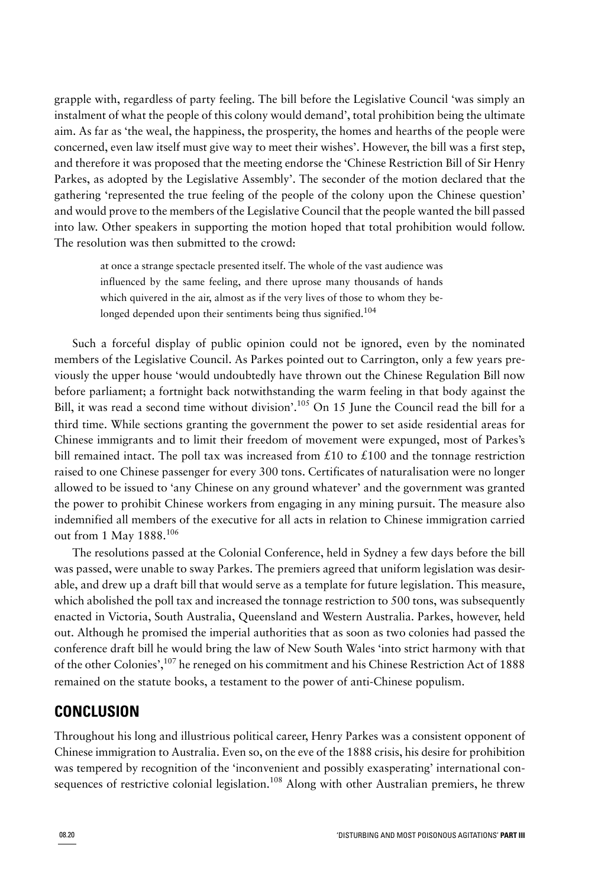grapple with, regardless of party feeling. The bill before the Legislative Council 'was simply an instalment of what the people of this colony would demand', total prohibition being the ultimate aim. As far as 'the weal, the happiness, the prosperity, the homes and hearths of the people were concerned, even law itself must give way to meet their wishes'. However, the bill was a first step, and therefore it was proposed that the meeting endorse the 'Chinese Restriction Bill of Sir Henry Parkes, as adopted by the Legislative Assembly'. The seconder of the motion declared that the gathering 'represented the true feeling of the people of the colony upon the Chinese question' and would prove to the members of the Legislative Council that the people wanted the bill passed into law. Other speakers in supporting the motion hoped that total prohibition would follow. The resolution was then submitted to the crowd:

at once a strange spectacle presented itself. The whole of the vast audience was influenced by the same feeling, and there uprose many thousands of hands which quivered in the air, almost as if the very lives of those to whom they belonged depended upon their sentiments being thus signified.<sup>104</sup>

Such a forceful display of public opinion could not be ignored, even by the nominated members of the Legislative Council. As Parkes pointed out to Carrington, only a few years previously the upper house 'would undoubtedly have thrown out the Chinese Regulation Bill now before parliament; a fortnight back notwithstanding the warm feeling in that body against the Bill, it was read a second time without division'.<sup>105</sup> On 15 June the Council read the bill for a third time. While sections granting the government the power to set aside residential areas for Chinese immigrants and to limit their freedom of movement were expunged, most of Parkes's bill remained intact. The poll tax was increased from £10 to £100 and the tonnage restriction raised to one Chinese passenger for every 300 tons. Certificates of naturalisation were no longer allowed to be issued to 'any Chinese on any ground whatever' and the government was granted the power to prohibit Chinese workers from engaging in any mining pursuit. The measure also indemnified all members of the executive for all acts in relation to Chinese immigration carried out from 1 May 1888.<sup>106</sup>

The resolutions passed at the Colonial Conference, held in Sydney a few days before the bill was passed, were unable to sway Parkes. The premiers agreed that uniform legislation was desirable, and drew up a draft bill that would serve as a template for future legislation. This measure, which abolished the poll tax and increased the tonnage restriction to 500 tons, was subsequently enacted in Victoria, South Australia, Queensland and Western Australia. Parkes, however, held out. Although he promised the imperial authorities that as soon as two colonies had passed the conference draft bill he would bring the law of New South Wales 'into strict harmony with that of the other Colonies',<sup>107</sup> he reneged on his commitment and his Chinese Restriction Act of 1888 remained on the statute books, a testament to the power of anti-Chinese populism.

# **CONCLUSION**

Throughout his long and illustrious political career, Henry Parkes was a consistent opponent of Chinese immigration to Australia. Even so, on the eve of the 1888 crisis, his desire for prohibition was tempered by recognition of the 'inconvenient and possibly exasperating' international consequences of restrictive colonial legislation.<sup>108</sup> Along with other Australian premiers, he threw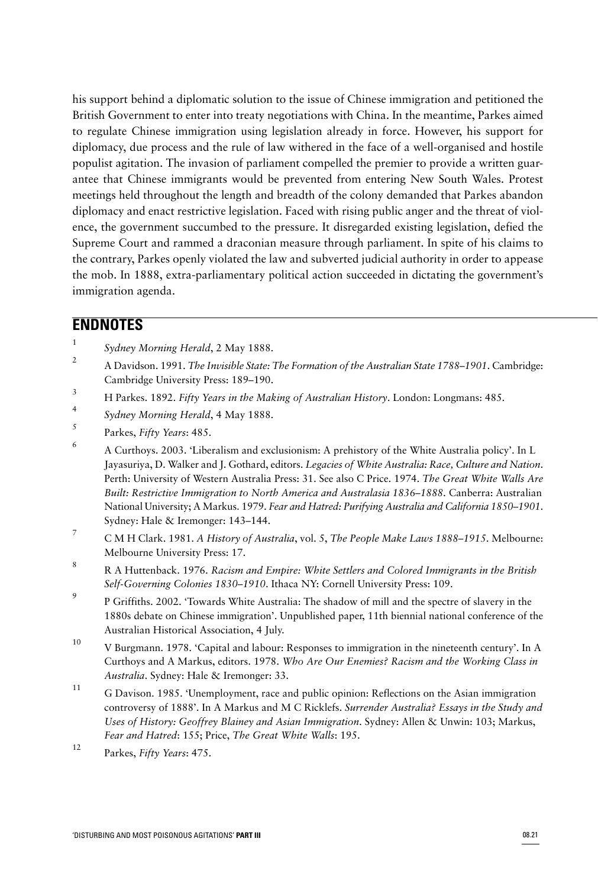his support behind a diplomatic solution to the issue of Chinese immigration and petitioned the British Government to enter into treaty negotiations with China. In the meantime, Parkes aimed to regulate Chinese immigration using legislation already in force. However, his support for diplomacy, due process and the rule of law withered in the face of a well-organised and hostile populist agitation. The invasion of parliament compelled the premier to provide a written guarantee that Chinese immigrants would be prevented from entering New South Wales. Protest meetings held throughout the length and breadth of the colony demanded that Parkes abandon diplomacy and enact restrictive legislation. Faced with rising public anger and the threat of violence, the government succumbed to the pressure. It disregarded existing legislation, defied the Supreme Court and rammed a draconian measure through parliament. In spite of his claims to the contrary, Parkes openly violated the law and subverted judicial authority in order to appease the mob. In 1888, extra-parliamentary political action succeeded in dictating the government's immigration agenda.

# **ENDNOTES**

- 1 *Sydney Morning Herald*, 2 May 1888.
- 2 A Davidson. 1991. *The Invisible State: The Formation of the Australian State 1788–1901*. Cambridge: Cambridge University Press: 189–190.
- 3 H Parkes. 1892. *Fifty Years in the Making of Australian History*. London: Longmans: 485.
- 4 *Sydney Morning Herald*, 4 May 1888.
- 5 Parkes, *Fifty Years*: 485.
- 6 A Curthoys. 2003. 'Liberalism and exclusionism: A prehistory of the White Australia policy'. In L Jayasuriya, D. Walker and J. Gothard, editors. *Legacies of White Australia: Race, Culture and Nation*. Perth: University of Western Australia Press: 31. See also C Price. 1974. *The Great White Walls Are Built: Restrictive Immigration to North America and Australasia 1836–1888*. Canberra: Australian National University; A Markus. 1979. *Fear and Hatred: Purifying Australia and California 1850–1901*. Sydney: Hale & Iremonger: 143–144.
- 7 C M H Clark. 1981. *A History of Australia*, vol. 5, *The People Make Laws 1888–1915*. Melbourne: Melbourne University Press: 17.
- 8 R A Huttenback. 1976. *Racism and Empire: White Settlers and Colored Immigrants in the British Self-Governing Colonies 1830–1910*. Ithaca NY: Cornell University Press: 109.
- 9 P Griffiths. 2002. 'Towards White Australia: The shadow of mill and the spectre of slavery in the 1880s debate on Chinese immigration'. Unpublished paper, 11th biennial national conference of the Australian Historical Association, 4 July.
- <sup>10</sup> V Burgmann. 1978. 'Capital and labour: Responses to immigration in the nineteenth century'. In A Curthoys and A Markus, editors. 1978. *Who Are Our Enemies? Racism and the Working Class in Australia*. Sydney: Hale & Iremonger: 33.
- <sup>11</sup> G Davison. 1985. 'Unemployment, race and public opinion: Reflections on the Asian immigration controversy of 1888'. In A Markus and M C Ricklefs. *Surrender Australia? Essays in the Study and Uses of History: Geoffrey Blainey and Asian Immigration*. Sydney: Allen & Unwin: 103; Markus, *Fear and Hatred*: 155; Price, *The Great White Walls*: 195.
- <sup>12</sup> Parkes, *Fifty Years*: 475.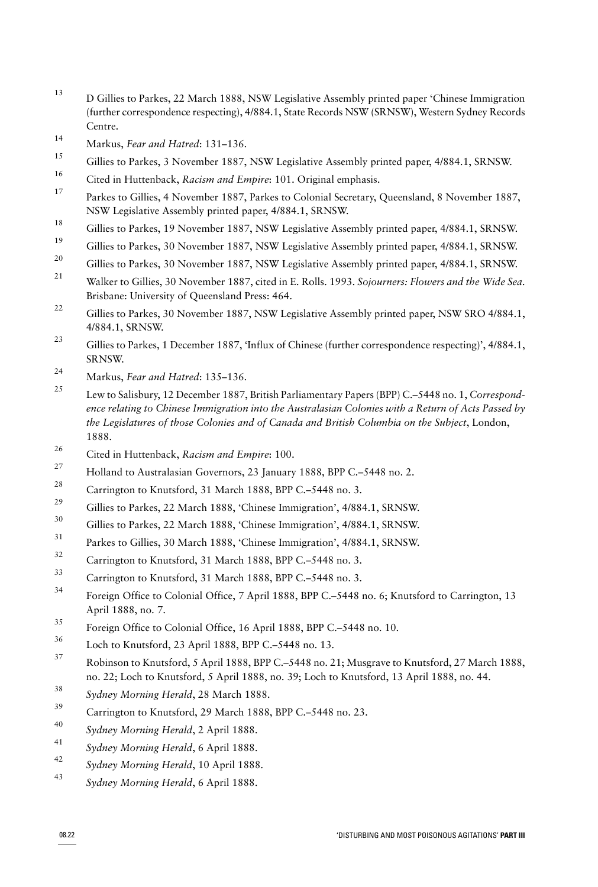- <sup>13</sup> D Gillies to Parkes, 22 March 1888, NSW Legislative Assembly printed paper 'Chinese Immigration (further correspondence respecting), 4/884.1, State Records NSW (SRNSW), Western Sydney Records Centre.
- <sup>14</sup> Markus, *Fear and Hatred*: 131–136.
- Gillies to Parkes, 3 November 1887, NSW Legislative Assembly printed paper, 4/884.1, SRNSW.
- <sup>16</sup> Cited in Huttenback, *Racism and Empire*: 101. Original emphasis.
- <sup>17</sup> Parkes to Gillies, 4 November 1887, Parkes to Colonial Secretary, Queensland, 8 November 1887, NSW Legislative Assembly printed paper, 4/884.1, SRNSW.
- <sup>18</sup> Gillies to Parkes, 19 November 1887, NSW Legislative Assembly printed paper, 4/884.1, SRNSW.
- <sup>19</sup> Gillies to Parkes, 30 November 1887, NSW Legislative Assembly printed paper, 4/884.1, SRNSW.
- <sup>20</sup> Gillies to Parkes, 30 November 1887, NSW Legislative Assembly printed paper, 4/884.1, SRNSW.
- <sup>21</sup> Walker to Gillies, 30 November 1887, cited in E. Rolls. 1993. *Sojourners: Flowers and the Wide Sea*. Brisbane: University of Queensland Press: 464.
- <sup>22</sup> Gillies to Parkes, 30 November 1887, NSW Legislative Assembly printed paper, NSW SRO 4/884.1, 4/884.1, SRNSW.
- <sup>23</sup> Gillies to Parkes, 1 December 1887, 'Influx of Chinese (further correspondence respecting)', 4/884.1, SRNSW.
- <sup>24</sup> Markus, *Fear and Hatred*: 135–136.
- <sup>25</sup> Lew to Salisbury, 12 December 1887, British Parliamentary Papers (BPP) C.–5448 no. 1, *Correspondence relating to Chinese Immigration into the Australasian Colonies with a Return of Acts Passed by the Legislatures of those Colonies and of Canada and British Columbia on the Subject*, London, 1888.
- <sup>26</sup> Cited in Huttenback, *Racism and Empire*: 100.
- <sup>27</sup> Holland to Australasian Governors, 23 January 1888, BPP C.–5448 no. 2.
- <sup>28</sup> Carrington to Knutsford, 31 March 1888, BPP C.–5448 no. 3.
- <sup>29</sup> Gillies to Parkes, 22 March 1888, 'Chinese Immigration', 4/884.1, SRNSW.
- <sup>30</sup> Gillies to Parkes, 22 March 1888, 'Chinese Immigration', 4/884.1, SRNSW.
- <sup>31</sup> Parkes to Gillies, 30 March 1888, 'Chinese Immigration', 4/884.1, SRNSW.
- $32$  Carrington to Knutsford, 31 March 1888, BPP C.–5448 no. 3.
- Carrington to Knutsford, 31 March 1888, BPP C.–5448 no. 3.
- <sup>34</sup> Foreign Office to Colonial Office, 7 April 1888, BPP C.–5448 no. 6; Knutsford to Carrington, 13 April 1888, no. 7.
- <sup>35</sup> Foreign Office to Colonial Office, 16 April 1888, BPP C.–5448 no. 10.
- Loch to Knutsford, 23 April 1888, BPP C.-5448 no. 13.
- <sup>37</sup> Robinson to Knutsford, 5 April 1888, BPP C.–5448 no. 21; Musgrave to Knutsford, 27 March 1888, no. 22; Loch to Knutsford, 5 April 1888, no. 39; Loch to Knutsford, 13 April 1888, no. 44.
- <sup>38</sup> *Sydney Morning Herald*, 28 March 1888.
- <sup>39</sup> Carrington to Knutsford, 29 March 1888, BPP C.–5448 no. 23.
- <sup>40</sup> *Sydney Morning Herald*, 2 April 1888.
- <sup>41</sup> *Sydney Morning Herald*, 6 April 1888.
- <sup>42</sup> *Sydney Morning Herald*, 10 April 1888.
- <sup>43</sup> *Sydney Morning Herald*, 6 April 1888.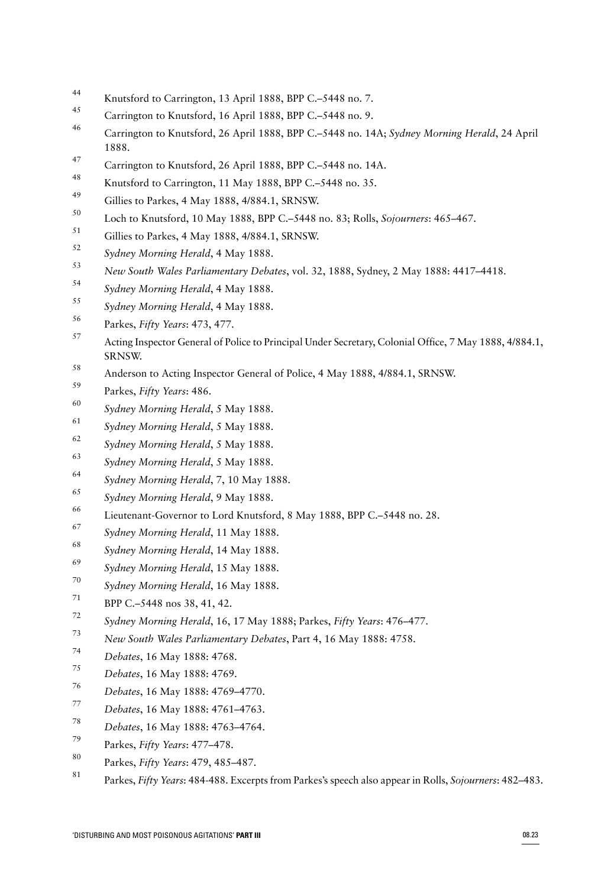- Knutsford to Carrington, 13 April 1888, BPP C.–5448 no. 7.
- <sup>45</sup> Carrington to Knutsford, 16 April 1888, BPP C.-5448 no. 9.
- Carrington to Knutsford, 26 April 1888, BPP C.–5448 no. 14A; *Sydney Morning Herald*, 24 April 1888.
- 47 Carrington to Knutsford, 26 April 1888, BPP C.-5448 no. 14A.
- Knutsford to Carrington, 11 May 1888, BPP C.-5448 no. 35.
- $^{49}$  Gillies to Parkes, 4 May 1888, 4/884.1, SRNSW.
- Loch to Knutsford, 10 May 1888, BPP C.–5448 no. 83; Rolls, *Sojourners*: 465–467.
- Gillies to Parkes, 4 May 1888, 4/884.1, SRNSW.
- *Sydney Morning Herald*, 4 May 1888.
- *New South Wales Parliamentary Debates*, vol. 32, 1888, Sydney, 2 May 1888: 4417–4418.
- *Sydney Morning Herald*, 4 May 1888.
- *Sydney Morning Herald*, 4 May 1888.
- Parkes, *Fifty Years*: 473, 477.
- Acting Inspector General of Police to Principal Under Secretary, Colonial Office, 7 May 1888, 4/884.1, SRNSW.
- 58 Anderson to Acting Inspector General of Police, 4 May 1888, 4/884.1, SRNSW.
- Parkes, *Fifty Years*: 486.
- *Sydney Morning Herald*, 5 May 1888.
- *Sydney Morning Herald*, 5 May 1888.
- *Sydney Morning Herald*, 5 May 1888.
- *Sydney Morning Herald*, 5 May 1888.
- *Sydney Morning Herald*, 7, 10 May 1888.
- *Sydney Morning Herald*, 9 May 1888.
- <sup>66</sup> Lieutenant-Governor to Lord Knutsford, 8 May 1888, BPP C.–5448 no. 28.
- *Sydney Morning Herald*, 11 May 1888.
- *Sydney Morning Herald*, 14 May 1888.
- *Sydney Morning Herald*, 15 May 1888.
- *Sydney Morning Herald*, 16 May 1888.
- $^{71}$  BPP C.–5448 nos 38, 41, 42.
- *Sydney Morning Herald*, 16, 17 May 1888; Parkes, *Fifty Years*: 476–477.
- *New South Wales Parliamentary Debates*, Part 4, 16 May 1888: 4758.
- *Debates*, 16 May 1888: 4768.
- *Debates*, 16 May 1888: 4769.
- *Debates*, 16 May 1888: 4769–4770.
- *Debates*, 16 May 1888: 4761–4763.
- *Debates*, 16 May 1888: 4763–4764.
- Parkes, *Fifty Years*: 477–478.
- Parkes, *Fifty Years*: 479, 485–487.
- Parkes, *Fifty Years*: 484-488. Excerpts from Parkes's speech also appear in Rolls, *Sojourners*: 482–483.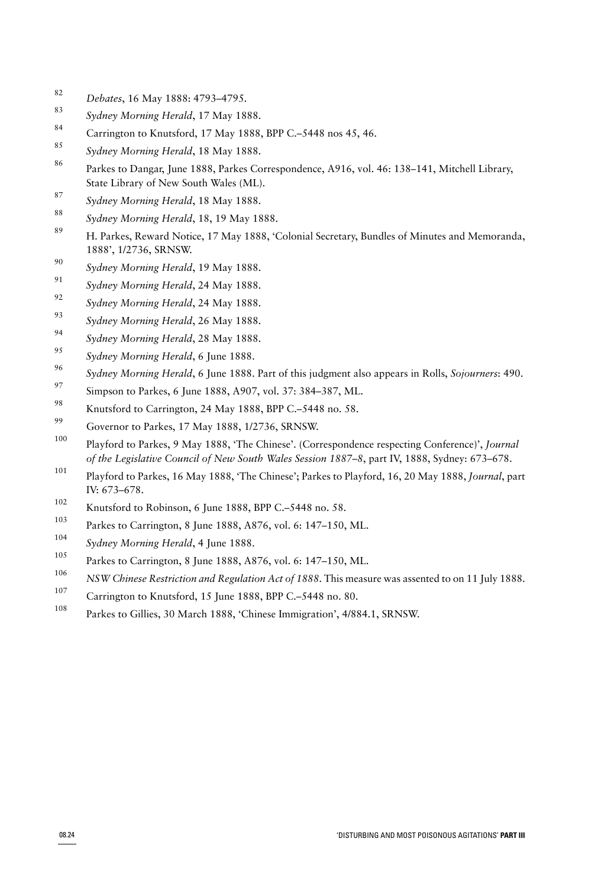- *Debates*, 16 May 1888: 4793–4795.
- *Sydney Morning Herald*, 17 May 1888.
- <sup>84</sup> Carrington to Knutsford, 17 May 1888, BPP C.–5448 nos 45, 46.
- *Sydney Morning Herald*, 18 May 1888.
- Parkes to Dangar, June 1888, Parkes Correspondence, A916, vol. 46: 138–141, Mitchell Library, State Library of New South Wales (ML).
- *Sydney Morning Herald*, 18 May 1888.
- *Sydney Morning Herald*, 18, 19 May 1888.
- H. Parkes, Reward Notice, 17 May 1888, 'Colonial Secretary, Bundles of Minutes and Memoranda, 1888', 1/2736, SRNSW.
- *Sydney Morning Herald*, 19 May 1888.
- *Sydney Morning Herald*, 24 May 1888.
- *Sydney Morning Herald*, 24 May 1888.
- *Sydney Morning Herald*, 26 May 1888.
- *Sydney Morning Herald*, 28 May 1888.
- *Sydney Morning Herald*, 6 June 1888.
- *Sydney Morning Herald*, 6 June 1888. Part of this judgment also appears in Rolls, *Sojourners*: 490.
- 97 Simpson to Parkes, 6 June 1888, A907, vol. 37: 384–387, ML.
- <sup>98</sup> Knutsford to Carrington, 24 May 1888, BPP C.–5448 no. 58.
- Governor to Parkes, 17 May 1888, 1/2736, SRNSW.
- Playford to Parkes, 9 May 1888, 'The Chinese'. (Correspondence respecting Conference)', *Journal of the Legislative Council of New South Wales Session 1887–8*, part IV, 1888, Sydney: 673–678.
- Playford to Parkes, 16 May 1888, 'The Chinese'; Parkes to Playford, 16, 20 May 1888, *Journal*, part IV: 673–678.
- <sup>102</sup> Knutsford to Robinson, 6 June 1888, BPP C.–5448 no. 58.
- Parkes to Carrington, 8 June 1888, A876, vol. 6: 147–150, ML.
- *Sydney Morning Herald*, 4 June 1888.
- Parkes to Carrington, 8 June 1888, A876, vol. 6: 147–150, ML.
- *NSW Chinese Restriction and Regulation Act of 1888*. This measure was assented to on 11 July 1888.
- Carrington to Knutsford, 15 June 1888, BPP C.–5448 no. 80.
- Parkes to Gillies, 30 March 1888, 'Chinese Immigration', 4/884.1, SRNSW.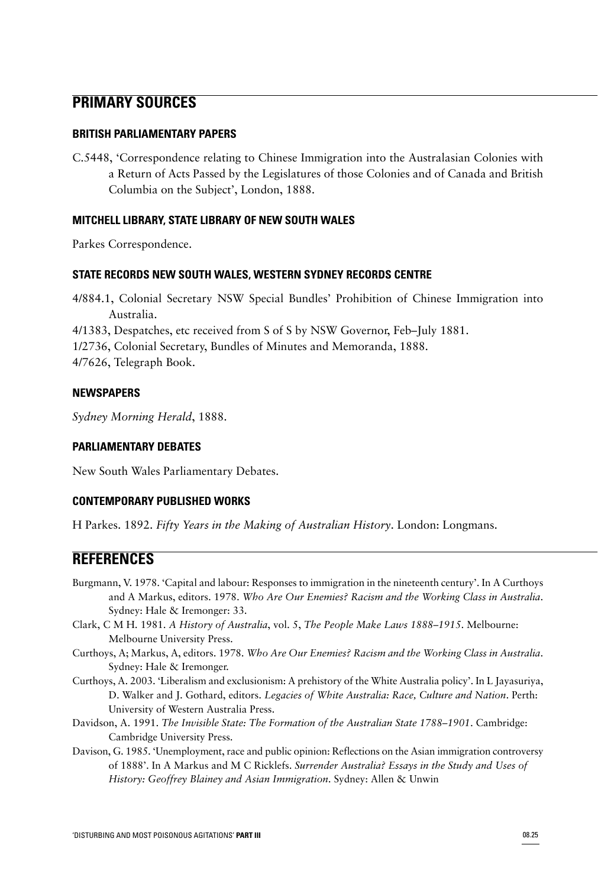# **PRIMARY SOURCES**

#### **BRITISH PARLIAMENTARY PAPERS**

C.5448, 'Correspondence relating to Chinese Immigration into the Australasian Colonies with a Return of Acts Passed by the Legislatures of those Colonies and of Canada and British Columbia on the Subject', London, 1888.

#### **MITCHELL LIBRARY, STATE LIBRARY OF NEW SOUTH WALES**

Parkes Correspondence.

#### **STATE RECORDS NEW SOUTH WALES, WESTERN SYDNEY RECORDS CENTRE**

4/884.1, Colonial Secretary NSW Special Bundles' Prohibition of Chinese Immigration into Australia.

4/1383, Despatches, etc received from S of S by NSW Governor, Feb–July 1881.

1/2736, Colonial Secretary, Bundles of Minutes and Memoranda, 1888.

4/7626, Telegraph Book.

#### **NEWSPAPERS**

*Sydney Morning Herald*, 1888.

#### **PARLIAMENTARY DEBATES**

New South Wales Parliamentary Debates.

### **CONTEMPORARY PUBLISHED WORKS**

H Parkes. 1892. *Fifty Years in the Making of Australian History*. London: Longmans.

# **REFERENCES**

- Burgmann, V. 1978. 'Capital and labour: Responses to immigration in the nineteenth century'. In A Curthoys and A Markus, editors. 1978. *Who Are Our Enemies? Racism and the Working Class in Australia*. Sydney: Hale & Iremonger: 33.
- Clark, C M H. 1981. *A History of Australia*, vol. 5, *The People Make Laws 1888–1915*. Melbourne: Melbourne University Press.
- Curthoys, A; Markus, A, editors. 1978. *Who Are Our Enemies? Racism and the Working Class in Australia*. Sydney: Hale & Iremonger.
- Curthoys, A. 2003. 'Liberalism and exclusionism: A prehistory of the White Australia policy'. In L Jayasuriya, D. Walker and J. Gothard, editors. *Legacies of White Australia: Race, Culture and Nation*. Perth: University of Western Australia Press.
- Davidson, A. 1991. *The Invisible State: The Formation of the Australian State 1788–1901*. Cambridge: Cambridge University Press.
- Davison, G. 1985. 'Unemployment, race and public opinion: Reflections on the Asian immigration controversy of 1888'. In A Markus and M C Ricklefs. *Surrender Australia? Essays in the Study and Uses of History: Geoffrey Blainey and Asian Immigration*. Sydney: Allen & Unwin